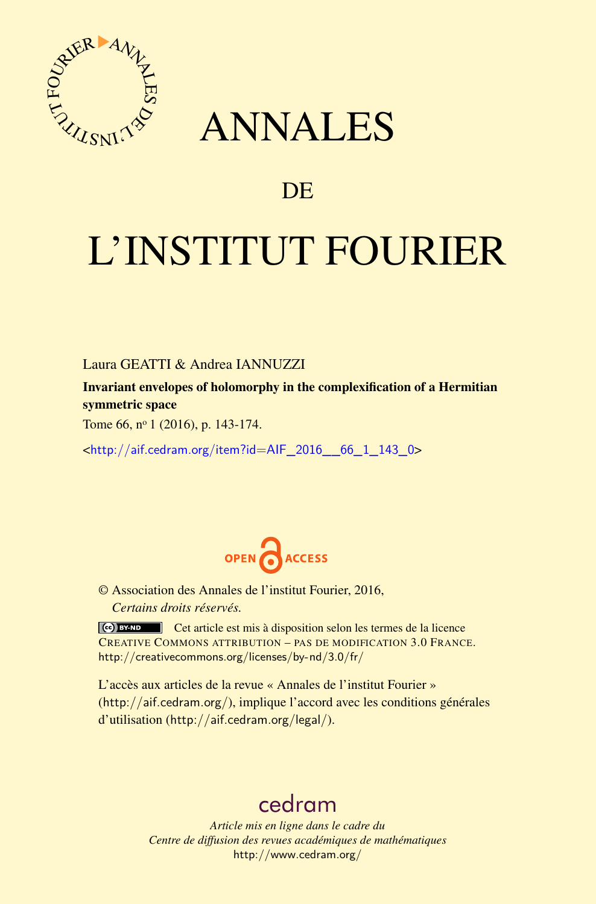

# ANNALES

# **DE**

# L'INSTITUT FOURIER

Laura GEATTI & Andrea IANNUZZI

Invariant envelopes of holomorphy in the complexification of a Hermitian symmetric space

Tome 66, nº 1 (2016), p. 143-174.

<[http://aif.cedram.org/item?id=AIF\\_2016\\_\\_66\\_1\\_143\\_0](http://aif.cedram.org/item?id=AIF_2016__66_1_143_0)>



© Association des Annales de l'institut Fourier, 2016, *Certains droits réservés.*

Cet article est mis à disposition selon les termes de la licence CREATIVE COMMONS ATTRIBUTION – PAS DE MODIFICATION 3.0 FRANCE. <http://creativecommons.org/licenses/by-nd/3.0/fr/>

L'accès aux articles de la revue « Annales de l'institut Fourier » (<http://aif.cedram.org/>), implique l'accord avec les conditions générales d'utilisation (<http://aif.cedram.org/legal/>).

# [cedram](http://www.cedram.org/)

*Article mis en ligne dans le cadre du Centre de diffusion des revues académiques de mathématiques* <http://www.cedram.org/>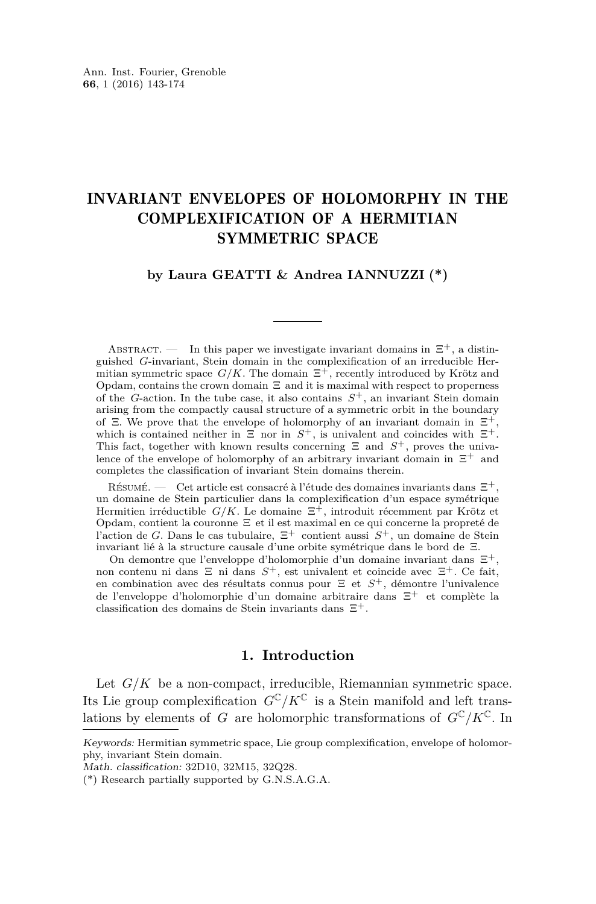# INVARIANT ENVELOPES OF HOLOMORPHY IN THE COMPLEXIFICATION OF A HERMITIAN SYMMETRIC SPACE

### **by Laura GEATTI & Andrea IANNUZZI (\*)**

ABSTRACT. — In this paper we investigate invariant domains in  $\Xi^+$ , a distinguished *G*-invariant, Stein domain in the complexification of an irreducible Hermitian symmetric space  $G/K$ . The domain  $\Xi^+$ , recently introduced by Krötz and Opdam, contains the crown domain  $\Xi$  and it is maximal with respect to properness of the *G*-action. In the tube case, it also contains *S* <sup>+</sup>, an invariant Stein domain arising from the compactly causal structure of a symmetric orbit in the boundary of  $\Xi$ . We prove that the envelope of holomorphy of an invariant domain in  $\Xi^+$ , which is contained neither in  $\Xi$  nor in  $S^+$ , is univalent and coincides with  $\Xi^+$ . This fact, together with known results concerning  $\Xi$  and  $S^+$ , proves the univalence of the envelope of holomorphy of an arbitrary invariant domain in  $\Xi^+$  and completes the classification of invariant Stein domains therein.

Résumé. — Cet article est consacré à l'étude des domaines invariants dans Ξ+, un domaine de Stein particulier dans la complexification d'un espace symétrique Hermitien irréductible  $G/K$ . Le domaine  $\Xi^+$ , introduit récemment par Krötz et Opdam, contient la couronne Ξ et il est maximal en ce qui concerne la propreté de l'action de *G*. Dans le cas tubulaire,  $\Xi^+$  contient aussi  $S^+$ , un domaine de Stein invariant lié à la structure causale d'une orbite symétrique dans le bord de Ξ.

On demontre que l'enveloppe d'holomorphie d'un domaine invariant dans Ξ+, non contenu ni dans Ξ ni dans *S* <sup>+</sup>, est univalent et coincide avec Ξ+. Ce fait, en combination avec des résultats connus pour Ξ et *S* <sup>+</sup>, démontre l'univalence de l'enveloppe d'holomorphie d'un domaine arbitraire dans Ξ<sup>+</sup> et complète la classification des domains de Stein invariants dans Ξ+*.*

## **1. Introduction**

Let  $G/K$  be a non-compact, irreducible, Riemannian symmetric space. Its Lie group complexification  $G^{\mathbb{C}}/K^{\mathbb{C}}$  is a Stein manifold and left translations by elements of *G* are holomorphic transformations of  $G^{\mathbb{C}}/K^{\mathbb{C}}$ . In

Keywords: Hermitian symmetric space, Lie group complexification, envelope of holomorphy, invariant Stein domain.

Math. classification: 32D10, 32M15, 32Q28.

<sup>(\*)</sup> Research partially supported by G.N.S.A.G.A.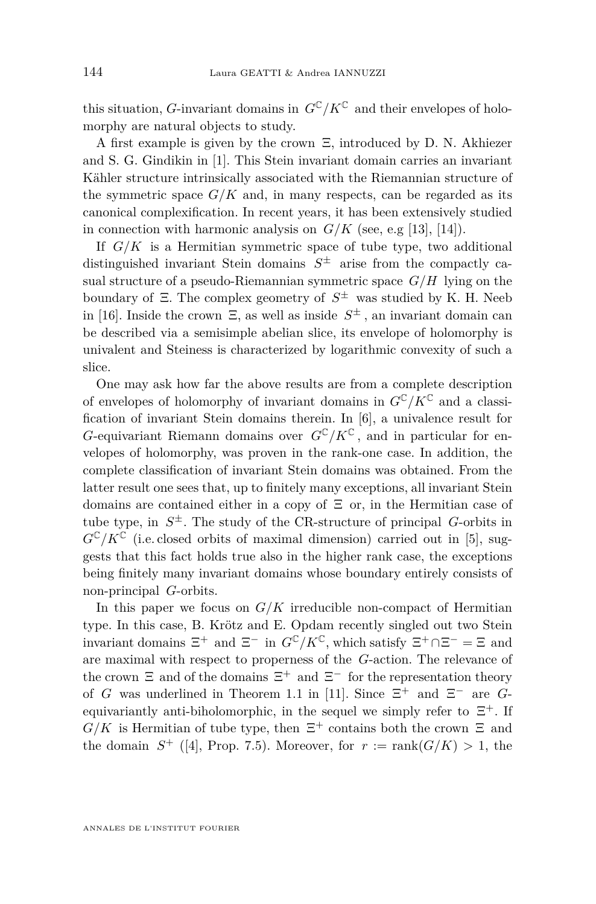this situation, *G*-invariant domains in  $G^{\mathbb{C}}/K^{\mathbb{C}}$  and their envelopes of holomorphy are natural objects to study.

A first example is given by the crown Ξ, introduced by D. N. Akhiezer and S. G. Gindikin in [\[1\]](#page-31-0). This Stein invariant domain carries an invariant Kähler structure intrinsically associated with the Riemannian structure of the symmetric space  $G/K$  and, in many respects, can be regarded as its canonical complexification. In recent years, it has been extensively studied in connection with harmonic analysis on  $G/K$  (see, e.g [\[13\]](#page-31-1), [\[14\]](#page-31-2)).

If *G/K* is a Hermitian symmetric space of tube type, two additional distinguished invariant Stein domains *S* <sup>±</sup> arise from the compactly casual structure of a pseudo-Riemannian symmetric space *G/H* lying on the boundary of Ξ. The complex geometry of *S* <sup>±</sup> was studied by K. H. Neeb in [\[16\]](#page-31-3). Inside the crown Ξ, as well as inside *S* <sup>±</sup> *,* an invariant domain can be described via a semisimple abelian slice, its envelope of holomorphy is univalent and Steiness is characterized by logarithmic convexity of such a slice.

One may ask how far the above results are from a complete description of envelopes of holomorphy of invariant domains in  $G^{\mathbb{C}}/K^{\mathbb{C}}$  and a classification of invariant Stein domains therein. In [\[6\]](#page-31-4), a univalence result for *G*-equivariant Riemann domains over  $G^{\mathbb{C}}/K^{\mathbb{C}}$ , and in particular for envelopes of holomorphy, was proven in the rank-one case. In addition, the complete classification of invariant Stein domains was obtained. From the latter result one sees that, up to finitely many exceptions, all invariant Stein domains are contained either in a copy of Ξ or, in the Hermitian case of tube type, in  $S^{\pm}$ . The study of the CR-structure of principal *G*-orbits in  $G^{\mathbb{C}}/K^{\mathbb{C}}$  (i.e. closed orbits of maximal dimension) carried out in [\[5\]](#page-31-5), suggests that this fact holds true also in the higher rank case, the exceptions being finitely many invariant domains whose boundary entirely consists of non-principal *G*-orbits.

In this paper we focus on  $G/K$  irreducible non-compact of Hermitian type. In this case, B. Krötz and E. Opdam recently singled out two Stein invariant domains  $\Xi^+$  and  $\Xi^-$  in  $G^{\mathbb{C}}/K^{\mathbb{C}}$ , which satisfy  $\Xi^+\cap\Xi^- = \Xi$  and are maximal with respect to properness of the *G*-action. The relevance of the crown  $\Xi$  and of the domains  $\Xi^+$  and  $\Xi^-$  for the representation theory of *G* was underlined in Theorem 1.1 in [\[11\]](#page-31-6). Since  $\Xi^+$  and  $\Xi^-$  are *G*equivariantly anti-biholomorphic, in the sequel we simply refer to  $\Xi^+$ . If  $G/K$  is Hermitian of tube type, then  $\Xi^+$  contains both the crown  $\Xi$  and the domain  $S^+$  ([\[4\]](#page-31-7), Prop. 7.5). Moreover, for  $r := \text{rank}(G/K) > 1$ , the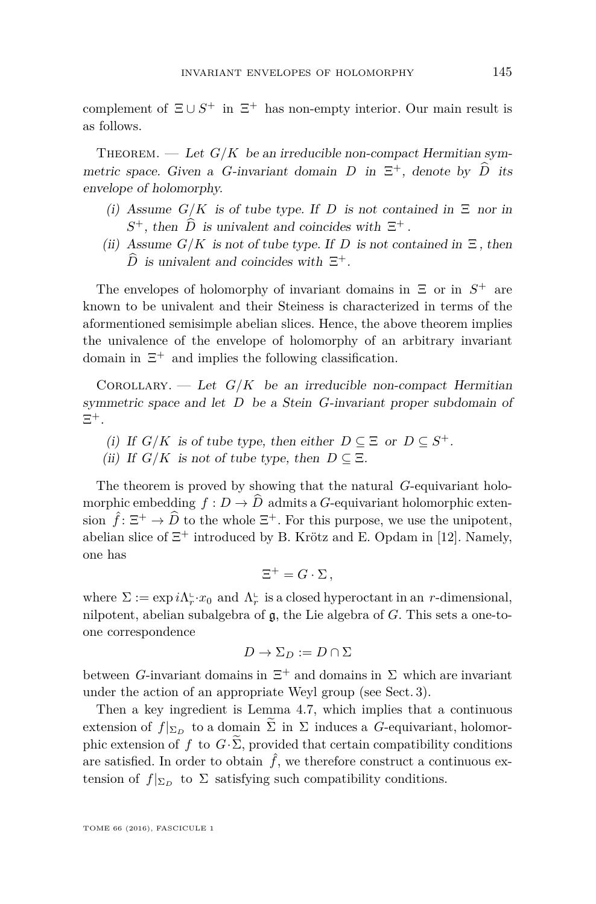complement of  $\Xi \cup S^+$  in  $\Xi^+$  has non-empty interior. Our main result is as follows.

THEOREM. — Let  $G/K$  be an irreducible non-compact Hermitian symmetric space. Given a *G*-invariant domain *D* in  $\Xi^+$ , denote by *D* its envelope of holomorphy.

- (i) Assume  $G/K$  is of tube type. If *D* is not contained in  $\Xi$  nor in  $S^+$ , then  $\hat{D}$  is univalent and coincides with  $\Xi^+$ .
- (ii) Assume  $G/K$  is not of tube type. If *D* is not contained in  $\Xi$ , then  $\hat{D}$  is univalent and coincides with  $\Xi^+$ .

The envelopes of holomorphy of invariant domains in  $\Xi$  or in  $S^+$  are known to be univalent and their Steiness is characterized in terms of the aformentioned semisimple abelian slices. Hence, the above theorem implies the univalence of the envelope of holomorphy of an arbitrary invariant domain in  $\Xi^+$  and implies the following classification.

COROLLARY. — Let  $G/K$  be an irreducible non-compact Hermitian symmetric space and let *D* be a Stein *G*-invariant proper subdomain of  $\Xi^+$ .

- (i) If  $G/K$  is of tube type, then either  $D \subseteq \Xi$  or  $D \subseteq S^+$ .
- (ii) If  $G/K$  is not of tube type, then  $D \subseteq \Xi$ .

The theorem is proved by showing that the natural *G*-equivariant holomorphic embedding  $f: D \to \widehat{D}$  admits a *G*-equivariant holomorphic extension  $\hat{f} : \Xi^+ \to \widehat{D}$  to the whole  $\Xi^+$ . For this purpose, we use the unipotent, abelian slice of  $\Xi^+$  introduced by B. Krötz and E. Opdam in [\[12\]](#page-31-8). Namely, one has

$$
\Xi^+ = G \cdot \Sigma \,,
$$

where  $\Sigma := \exp i\Lambda_r^{\mathbb{L}} \cdot x_0$  and  $\Lambda_r^{\mathbb{L}}$  is a closed hyperoctant in an *r*-dimensional, nilpotent, abelian subalgebra of g, the Lie algebra of *G*. This sets a one-toone correspondence

$$
D \to \Sigma_D := D \cap \Sigma
$$

between *G*-invariant domains in  $\Xi^+$  and domains in  $\Sigma$  which are invariant under the action of an appropriate Weyl group (see Sect. 3).

Then a key ingredient is Lemma 4.7, which implies that a continuous extension of  $f|_{\Sigma_D}$  to a domain  $\Sigma$  in  $\Sigma$  induces a *G*-equivariant, holomorphic extension of *f* to  $G \cdot \widetilde{\Sigma}$ , provided that certain compatibility conditions are satisfied. In order to obtain  $\hat{f}$ , we therefore construct a continuous extension of  $f|_{\Sigma_D}$  to  $\Sigma$  satisfying such compatibility conditions.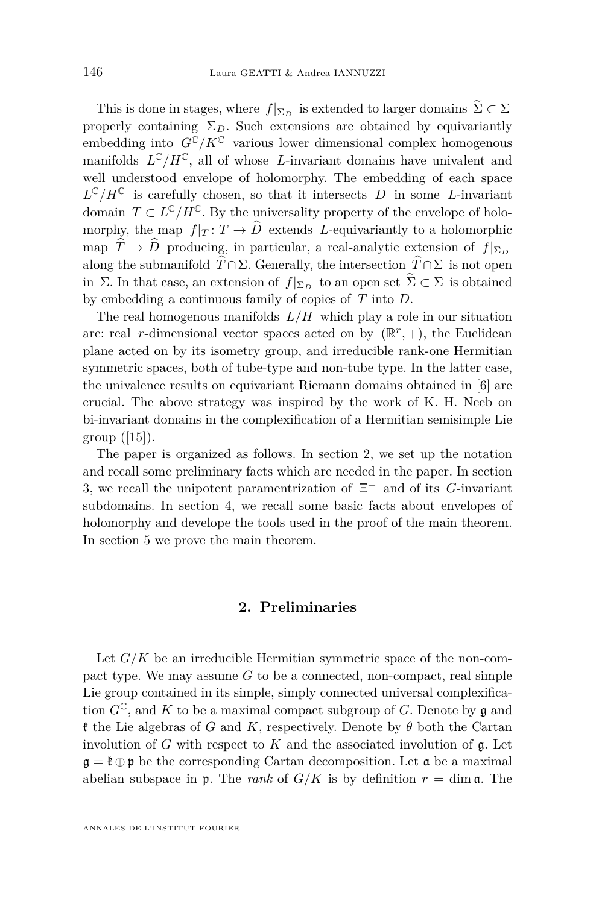This is done in stages, where  $f|_{\Sigma_D}$  is extended to larger domains  $\widetilde{\Sigma} \subset \Sigma$ properly containing  $\Sigma_D$ . Such extensions are obtained by equivariantly embedding into  $G^{\mathbb{C}}/K^{\mathbb{C}}$  various lower dimensional complex homogenous manifolds  $L^{\mathbb{C}}/H^{\mathbb{C}}$ , all of whose *L*-invariant domains have univalent and well understood envelope of holomorphy. The embedding of each space  $L^{\mathbb{C}}/H^{\mathbb{C}}$  is carefully chosen, so that it intersects *D* in some *L*-invariant domain  $T \subset L^{\mathbb{C}}/H^{\mathbb{C}}$ . By the universality property of the envelope of holomorphy, the map  $f|_T: T \to \widehat{D}$  extends *L*-equivariantly to a holomorphic map  $\hat{T} \to \hat{D}$  producing, in particular, a real-analytic extension of  $f|_{\Sigma_D}$ along the submanifold  $\widehat{T} \cap \Sigma$ . Generally, the intersection  $\widehat{T} \cap \Sigma$  is not open in Σ. In that case, an extension of  $f|_{\Sigma_D}$  to an open set  $\widetilde{\Sigma} \subset \Sigma$  is obtained by embedding a continuous family of copies of *T* into *D*.

The real homogenous manifolds  $L/H$  which play a role in our situation are: real *r*-dimensional vector spaces acted on by  $(\mathbb{R}^r, +)$ , the Euclidean plane acted on by its isometry group, and irreducible rank-one Hermitian symmetric spaces, both of tube-type and non-tube type. In the latter case, the univalence results on equivariant Riemann domains obtained in [\[6\]](#page-31-4) are crucial. The above strategy was inspired by the work of K. H. Neeb on bi-invariant domains in the complexification of a Hermitian semisimple Lie group  $([15])$  $([15])$  $([15])$ .

The paper is organized as follows. In section 2, we set up the notation and recall some preliminary facts which are needed in the paper. In section 3, we recall the unipotent paramentrization of Ξ <sup>+</sup> and of its *G*-invariant subdomains. In section 4, we recall some basic facts about envelopes of holomorphy and develope the tools used in the proof of the main theorem. In section 5 we prove the main theorem.

# **2. Preliminaries**

Let  $G/K$  be an irreducible Hermitian symmetric space of the non-compact type. We may assume *G* to be a connected, non-compact, real simple Lie group contained in its simple, simply connected universal complexification  $G^{\mathbb{C}}$ , and K to be a maximal compact subgroup of G. Denote by g and k the Lie algebras of *G* and *K*, respectively. Denote by *θ* both the Cartan involution of *G* with respect to *K* and the associated involution of g. Let  $\mathfrak{g} = \mathfrak{k} \oplus \mathfrak{p}$  be the corresponding Cartan decomposition. Let  $\mathfrak{a}$  be a maximal abelian subspace in  $\mathfrak{p}$ . The *rank* of  $G/K$  is by definition  $r = \dim \mathfrak{a}$ . The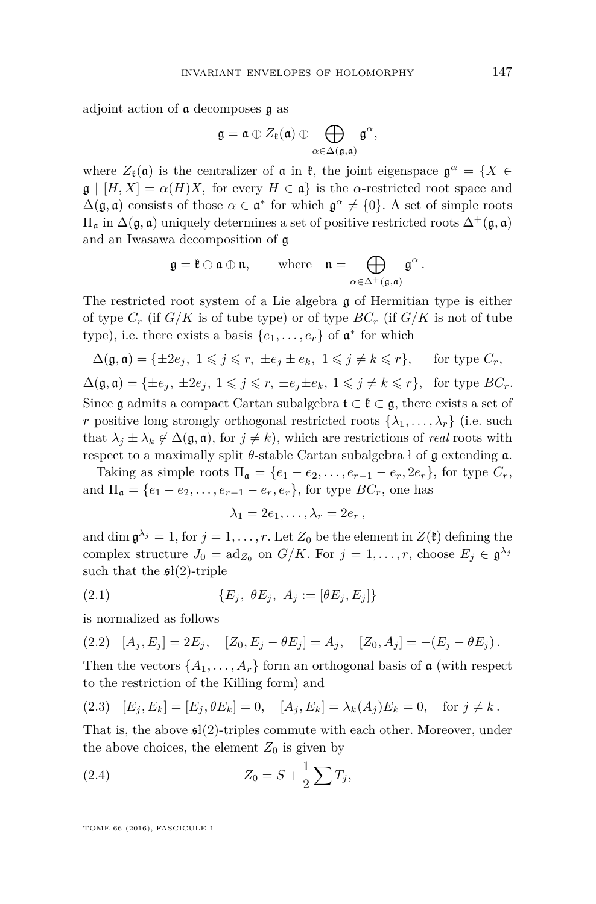adjoint action of a decomposes g as

$$
\mathfrak{g}=\mathfrak{a}\oplus Z_{\mathfrak{k}}(\mathfrak{a})\oplus\bigoplus_{\alpha\in\Delta(\mathfrak{g},\mathfrak{a})}\mathfrak{g}^{\alpha},
$$

where  $Z_{\mathfrak{k}}(\mathfrak{a})$  is the centralizer of  $\mathfrak{a}$  in  $\mathfrak{k}$ , the joint eigenspace  $\mathfrak{g}^{\alpha} = \{X \in$  $\mathfrak{g} \mid [H, X] = \alpha(H)X$ , for every  $H \in \mathfrak{a}$  is the *α*-restricted root space and  $\Delta(\mathfrak{g}, \mathfrak{a})$  consists of those  $\alpha \in \mathfrak{a}^*$  for which  $\mathfrak{g}^{\alpha} \neq \{0\}$ . A set of simple roots Π<sup>a</sup> in ∆(g*,* a) uniquely determines a set of positive restricted roots ∆<sup>+</sup>(g*,* a) and an Iwasawa decomposition of g

$$
\mathfrak{g} = \mathfrak{k} \oplus \mathfrak{a} \oplus \mathfrak{n}, \qquad \text{where} \quad \mathfrak{n} = \bigoplus_{\alpha \in \Delta^+(\mathfrak{g}, \mathfrak{a})} \mathfrak{g}^{\alpha}.
$$

The restricted root system of a Lie algebra g of Hermitian type is either of type  $C_r$  (if  $G/K$  is of tube type) or of type  $BC_r$  (if  $G/K$  is not of tube type), i.e. there exists a basis  $\{e_1, \ldots, e_r\}$  of  $\mathfrak{a}^*$  for which

$$
\Delta(\mathfrak{g},\mathfrak{a})=\{\pm 2e_j,\ 1\leqslant j\leqslant r,\ \pm e_j\pm e_k,\ 1\leqslant j\neq k\leqslant r\},\quad \text{ for type }C_r,
$$

 $\Delta(\mathfrak{g}, \mathfrak{a}) = \{\pm e_i, \pm 2e_i, 1 \leq j \leq r, \pm e_i \pm e_k, 1 \leq j \neq k \leq r\}$ , for type  $BC_r$ . Since g admits a compact Cartan subalgebra  $\mathfrak{t} \subset \mathfrak{k} \subset \mathfrak{g}$ , there exists a set of *r* positive long strongly orthogonal restricted roots  $\{\lambda_1, \ldots, \lambda_r\}$  (i.e. such that  $\lambda_j \pm \lambda_k \notin \Delta(\mathfrak{g}, \mathfrak{a})$ , for  $j \neq k$ ), which are restrictions of *real* roots with respect to a maximally split  $\theta$ -stable Cartan subalgebra ł of g extending  $\alpha$ .

Taking as simple roots  $\Pi_{\mathfrak{a}} = \{e_1 - e_2, \ldots, e_{r-1} - e_r, 2e_r\}$ , for type  $C_r$ , and  $\Pi_a = \{e_1 - e_2, \ldots, e_{r-1} - e_r, e_r\}$ , for type  $BC_r$ , one has

<span id="page-5-0"></span>
$$
\lambda_1=2e_1,\ldots,\lambda_r=2e_r\,,
$$

and dim  $\mathfrak{g}^{\lambda_j} = 1$ , for  $j = 1, \ldots, r$ . Let  $Z_0$  be the element in  $Z(\mathfrak{k})$  defining the complex structure  $J_0 = \text{ad}_{Z_0}$  on  $G/K$ . For  $j = 1, \ldots, r$ , choose  $E_j \in \mathfrak{g}^{\lambda_j}$ such that the  $\mathfrak{sl}(2)$ -triple

(2.1) 
$$
\{E_j, \ \theta E_j, \ A_j := [\theta E_j, E_j]\}
$$

is normalized as follows

<span id="page-5-1"></span>(2.2) 
$$
[A_j, E_j] = 2E_j
$$
,  $[Z_0, E_j - \theta E_j] = A_j$ ,  $[Z_0, A_j] = -(E_j - \theta E_j)$ .

Then the vectors  $\{A_1, \ldots, A_r\}$  form an orthogonal basis of a (with respect to the restriction of the Killing form) and

<span id="page-5-2"></span>(2.3) 
$$
[E_j, E_k] = [E_j, \theta E_k] = 0, \quad [A_j, E_k] = \lambda_k (A_j) E_k = 0, \quad \text{for } j \neq k.
$$

That is, the above  $\mathfrak{sl}(2)$ -triples commute with each other. Moreover, under the above choices, the element  $Z_0$  is given by

<span id="page-5-3"></span>(2.4) 
$$
Z_0 = S + \frac{1}{2} \sum T_j,
$$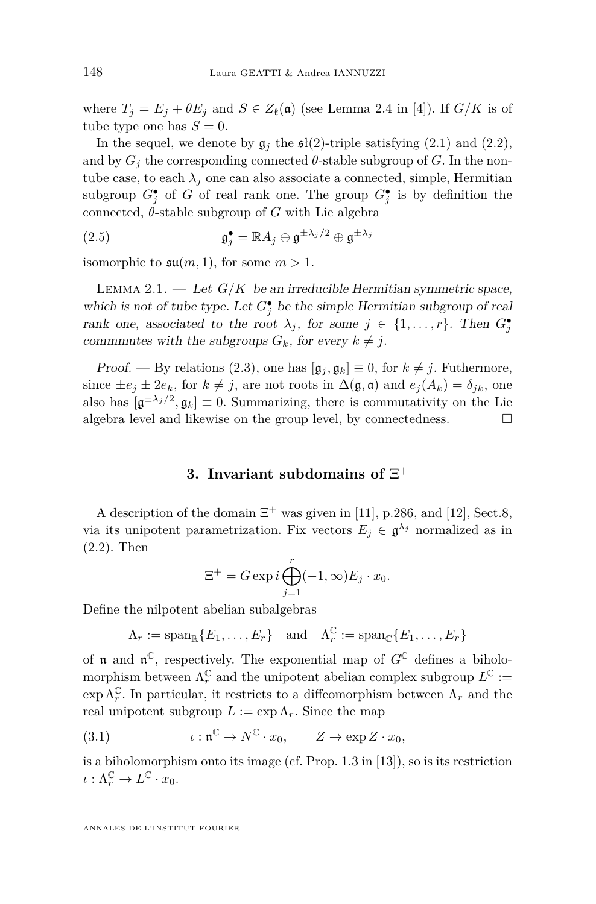where  $T_j = E_j + \theta E_j$  and  $S \in Z_{\mathfrak{k}}(\mathfrak{a})$  (see Lemma 2.4 in [\[4\]](#page-31-7)). If  $G/K$  is of tube type one has  $S = 0$ .

In the sequel, we denote by  $\mathfrak{g}_i$  the  $\mathfrak{sl}(2)$ -triple satisfying [\(2.1\)](#page-5-0) and [\(2.2\)](#page-5-1), and by  $G_i$  the corresponding connected  $\theta$ -stable subgroup of *G*. In the nontube case, to each  $\lambda_j$  one can also associate a connected, simple, Hermitian subgroup  $G_j^{\bullet}$  of *G* of real rank one. The group  $G_j^{\bullet}$  is by definition the connected,  $\theta$ -stable subgroup of  $G$  with Lie algebra

<span id="page-6-2"></span>(2.5) 
$$
\mathfrak{g}_j^{\bullet} = \mathbb{R} A_j \oplus \mathfrak{g}^{\pm \lambda_j/2} \oplus \mathfrak{g}^{\pm \lambda_j}
$$

isomorphic to  $\mathfrak{su}(m,1)$ , for some  $m > 1$ .

<span id="page-6-3"></span>LEMMA 2.1.  $\qquad$  Let  $G/K$  be an irreducible Hermitian symmetric space, which is not of tube type. Let  $G_j^{\bullet}$  be the simple Hermitian subgroup of real rank one, associated to the root  $\lambda_j$ , for some  $j \in \{1, ..., r\}$ . Then  $G_j^{\bullet}$ commmutes with the subgroups  $G_k$ , for every  $k \neq j$ .

Proof. — By relations [\(2.3\)](#page-5-2), one has  $[\mathfrak{g}_i, \mathfrak{g}_k] \equiv 0$ , for  $k \neq j$ . Futhermore, since  $\pm e_j \pm 2e_k$ , for  $k \neq j$ , are not roots in  $\Delta(\mathfrak{g}, \mathfrak{a})$  and  $e_j(A_k) = \delta_{jk}$ , one also has  $[\mathfrak{g}^{\pm \lambda_j/2}, \mathfrak{g}_k] \equiv 0$ . Summarizing, there is commutativity on the Lie algebra level and likewise on the group level, by connectedness.

# **3. Invariant subdomains of** Ξ +

<span id="page-6-0"></span>A description of the domain  $\Xi^+$  was given in [\[11\]](#page-31-6), p.286, and [\[12\]](#page-31-8), Sect.8, via its unipotent parametrization. Fix vectors  $E_j \in \mathfrak{g}^{\lambda_j}$  normalized as in [\(2.2\)](#page-5-1). Then

$$
\Xi^+ = G \exp i \bigoplus_{j=1}^r (-1, \infty) E_j \cdot x_0.
$$

Define the nilpotent abelian subalgebras

$$
\Lambda_r := \mathrm{span}_{\mathbb{R}}\{E_1,\ldots,E_r\} \quad \text{and} \quad \Lambda_r^{\mathbb{C}} := \mathrm{span}_{\mathbb{C}}\{E_1,\ldots,E_r\}
$$

of **n** and  $\mathfrak{n}^{\mathbb{C}}$ , respectively. The exponential map of  $G^{\mathbb{C}}$  defines a biholomorphism between  $\Lambda_r^{\mathbb C}$  and the unipotent abelian complex subgroup  $L^{\mathbb C} :=$  $\exp \Lambda_r^{\mathbb{C}}$ . In particular, it restricts to a diffeomorphism between  $\Lambda_r$  and the real unipotent subgroup  $L := \exp \Lambda_r$ . Since the map

<span id="page-6-1"></span>(3.1) 
$$
\iota: \mathfrak{n}^{\mathbb{C}} \to N^{\mathbb{C}} \cdot x_0, \qquad Z \to \exp Z \cdot x_0,
$$

is a biholomorphism onto its image (cf. Prop. 1.3 in [\[13\]](#page-31-1)), so is its restriction  $\iota : \Lambda_r^{\mathbb{C}} \to L^{\mathbb{C}} \cdot x_0.$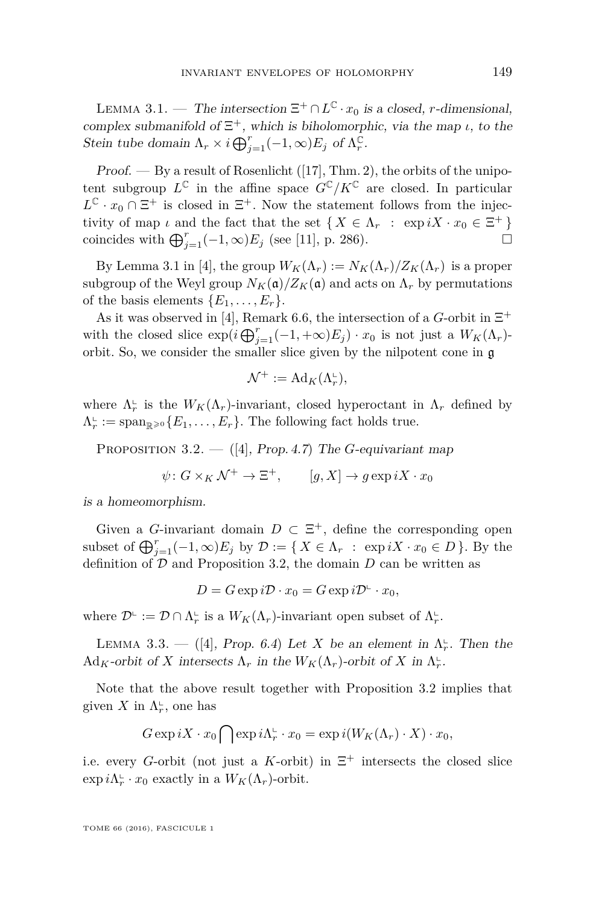<span id="page-7-2"></span>LEMMA 3.1. — The intersection  $\Xi^+ \cap L^{\mathbb{C}} \cdot x_0$  is a closed, *r*-dimensional, complex submanifold of  $\Xi^+$ , which is biholomorphic, via the map *ι*, to the Stein tube domain  $\Lambda_r \times i \bigoplus_{j=1}^r (-1, \infty) E_j$  of  $\Lambda_r^{\mathbb{C}}$ .

 $Proof.$  — By a result of Rosenlicht ([\[17\]](#page-31-10), Thm. 2), the orbits of the unipotent subgroup  $L^{\mathbb{C}}$  in the affine space  $G^{\mathbb{C}}/K^{\mathbb{C}}$  are closed. In particular  $L^{\mathbb{C}} \cdot x_0 \cap \Xi^+$  is closed in  $\Xi^+$ . Now the statement follows from the injectivity of map *ι* and the fact that the set  $\{ X \in \Lambda_r : \exp iX \cdot x_0 \in \Xi^+ \}$ coincides with  $\bigoplus_{j=1}^{r}(-1,\infty)E_j$  (see [\[11\]](#page-31-6), p. 286). □

By Lemma 3.1 in [\[4\]](#page-31-7), the group  $W_K(\Lambda_r) := N_K(\Lambda_r)/Z_K(\Lambda_r)$  is a proper subgroup of the Weyl group  $N_K(\mathfrak{a})/Z_K(\mathfrak{a})$  and acts on  $\Lambda_r$  by permutations of the basis elements  $\{E_1, \ldots, E_r\}.$ 

As it was observed in [\[4\]](#page-31-7), Remark 6.6, the intersection of a *G*-orbit in  $\Xi^+$ with the closed slice  $\exp(i\bigoplus_{j=1}^{r}(-1, +\infty)E_j)\cdot x_0$  is not just a  $W_K(\Lambda_r)$ orbit. So, we consider the smaller slice given by the nilpotent cone in g

$$
\mathcal{N}^+ := \mathrm{Ad}_K(\Lambda_r^\sqcup),
$$

where  $\Lambda_r^{\mathbb{L}}$  is the  $W_K(\Lambda_r)$ -invariant, closed hyperoctant in  $\Lambda_r$  defined by  $\Lambda_r^{\mathbb{L}} := \text{span}_{\mathbb{R}^{\geqslant 0}} \{E_1, \ldots, E_r\}.$  The following fact holds true.

<span id="page-7-0"></span>PROPOSITION 3.2. — ([\[4\]](#page-31-7), Prop. 4.7) The *G*-equivariant map

$$
\psi \colon G \times_K \mathcal{N}^+ \to \Xi^+, \qquad [g, X] \to g \exp iX \cdot x_0
$$

is a homeomorphism.

Given a *G*-invariant domain  $D \subset \Xi^+$ , define the corresponding open subset of  $\bigoplus_{j=1}^{r}(-1,\infty)E_j$  by  $\mathcal{D} := \{ X \in \Lambda_r : \exp iX \cdot x_0 \in D \}$ *.* By the definition of  $D$  and Proposition [3.2,](#page-7-0) the domain  $D$  can be written as

$$
D = G \exp i\mathcal{D} \cdot x_0 = G \exp i\mathcal{D}^{\mathsf{L}} \cdot x_0,
$$

where  $\mathcal{D}^{\mathbb{L}} := \mathcal{D} \cap \Lambda_r^{\mathbb{L}}$  is a  $W_K(\Lambda_r)$ -invariant open subset of  $\Lambda_r^{\mathbb{L}}$ .

<span id="page-7-1"></span>LEMMA 3.3. — ([\[4\]](#page-31-7), Prop. 6.4) Let *X* be an element in  $\Lambda_r^{\mathsf{L}}$ . Then the  $\mathrm{Ad}_K$ -orbit of *X* intersects  $\Lambda_r$  in the  $W_K(\Lambda_r)$ -orbit of *X* in  $\Lambda_r^{\mathbb{L}}$ .

Note that the above result together with Proposition [3.2](#page-7-0) implies that given *X* in  $\Lambda_r^{\mathbb{L}}$ , one has

$$
G \exp iX \cdot x_0 \bigcap \exp i\Lambda_r^{\mathbf{L}} \cdot x_0 = \exp i(W_K(\Lambda_r) \cdot X) \cdot x_0,
$$

i.e. every *G*-orbit (not just a *K*-orbit) in  $\Xi^+$  intersects the closed slice  $\exp i\Lambda_r^{\mathbb{L}} \cdot x_0$  exactly in a  $W_K(\Lambda_r)$ -orbit.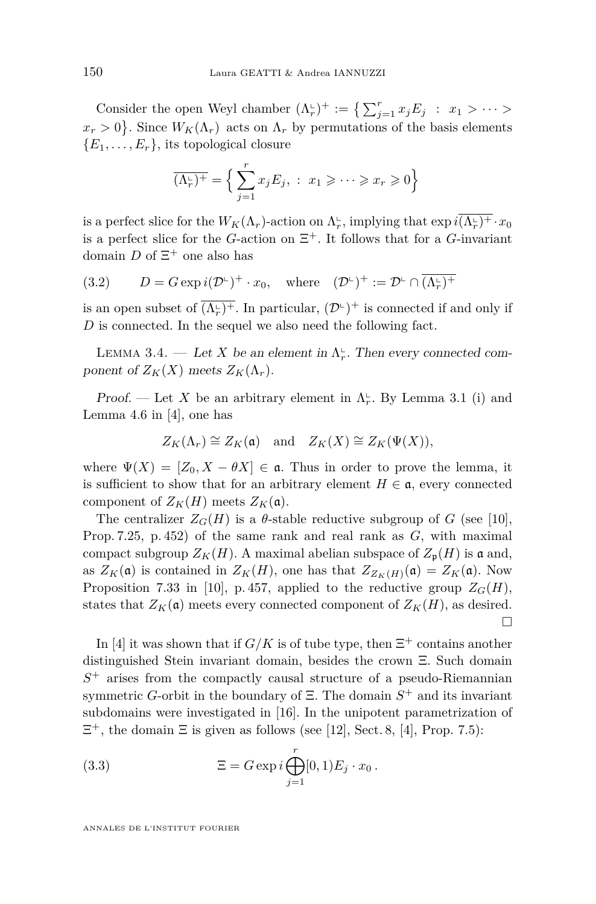Consider the open Weyl chamber  $(\Lambda_r^{\perp})^+ := \left\{ \sum_{j=1}^r x_j E_j : x_1 > \cdots \right\}$  $x_r > 0$ . Since  $W_K(\Lambda_r)$  acts on  $\Lambda_r$  by permutations of the basis elements  ${E_1, \ldots, E_r}$ , its topological closure

$$
\overline{(\Lambda_r^{\mathbf{L}})^+} = \Big\{ \sum_{j=1}^r x_j E_j, \; : \; x_1 \geqslant \cdots \geqslant x_r \geqslant 0 \Big\}
$$

is a perfect slice for the  $W_K(\Lambda_r)$ -action on  $\Lambda_r^{\text{L}}$ , implying that  $\exp i(\overline{(\Lambda_r^{\text{L}})^+} \cdot x_0$ is a perfect slice for the *G*-action on  $\Xi^+$ . It follows that for a *G*-invariant domain  $D$  of  $\Xi^+$  one also has

<span id="page-8-1"></span>(3.2) 
$$
D = G \exp i(\mathcal{D}^{\mathbb{L}})^{+} \cdot x_0, \text{ where } (\mathcal{D}^{\mathbb{L}})^{+} := \mathcal{D}^{\mathbb{L}} \cap \overline{(\Lambda^{\mathbb{L}}_{r})^{+}}
$$

is an open subset of  $\overline{(\Lambda_r^{\iota})^+}$ . In particular,  $(\mathcal{D}^{\iota})^+$  is connected if and only if D is connected. In the sequel we also need the following fact.

<span id="page-8-0"></span>LEMMA 3.4. — Let *X* be an element in  $\Lambda_r^{\mathbb{L}}$ . Then every connected component of  $Z_K(X)$  meets  $Z_K(\Lambda_r)$ .

Proof. — Let X be an arbitrary element in  $\Lambda_r^{\mathbb{L}}$ . By Lemma 3.1 (i) and Lemma 4.6 in [\[4\]](#page-31-7), one has

$$
Z_K(\Lambda_r) \cong Z_K(\mathfrak{a})
$$
 and  $Z_K(X) \cong Z_K(\Psi(X)),$ 

where  $\Psi(X) = [Z_0, X - \theta X] \in \mathfrak{a}$ . Thus in order to prove the lemma, it is sufficient to show that for an arbitrary element  $H \in \mathfrak{a}$ , every connected component of  $Z_K(H)$  meets  $Z_K(\mathfrak{a})$ .

The centralizer  $Z_G(H)$  is a  $\theta$ -stable reductive subgroup of *G* (see [\[10\]](#page-31-11), Prop. 7.25, p. 452) of the same rank and real rank as *G*, with maximal compact subgroup  $Z_K(H)$ . A maximal abelian subspace of  $Z_p(H)$  is a and, as  $Z_K(\mathfrak{a})$  is contained in  $Z_K(H)$ , one has that  $Z_{Z_K(H)}(\mathfrak{a}) = Z_K(\mathfrak{a})$ . Now Proposition 7.33 in [\[10\]](#page-31-11), p. 457, applied to the reductive group  $Z_G(H)$ , states that  $Z_K(\mathfrak{a})$  meets every connected component of  $Z_K(H)$ , as desired.  $\Box$ 

In [\[4\]](#page-31-7) it was shown that if  $G/K$  is of tube type, then  $\Xi^+$  contains another distinguished Stein invariant domain, besides the crown Ξ. Such domain *S* <sup>+</sup> arises from the compactly causal structure of a pseudo-Riemannian symmetric *G*-orbit in the boundary of Ξ. The domain *S* <sup>+</sup> and its invariant subdomains were investigated in [\[16\]](#page-31-3). In the unipotent parametrization of  $\Xi^+$ , the domain  $\Xi$  is given as follows (see [\[12\]](#page-31-8), Sect. 8, [\[4\]](#page-31-7), Prop. 7.5):

<span id="page-8-2"></span>(3.3) 
$$
\Xi = G \exp i \bigoplus_{j=1}^{r} [0,1) E_j \cdot x_0.
$$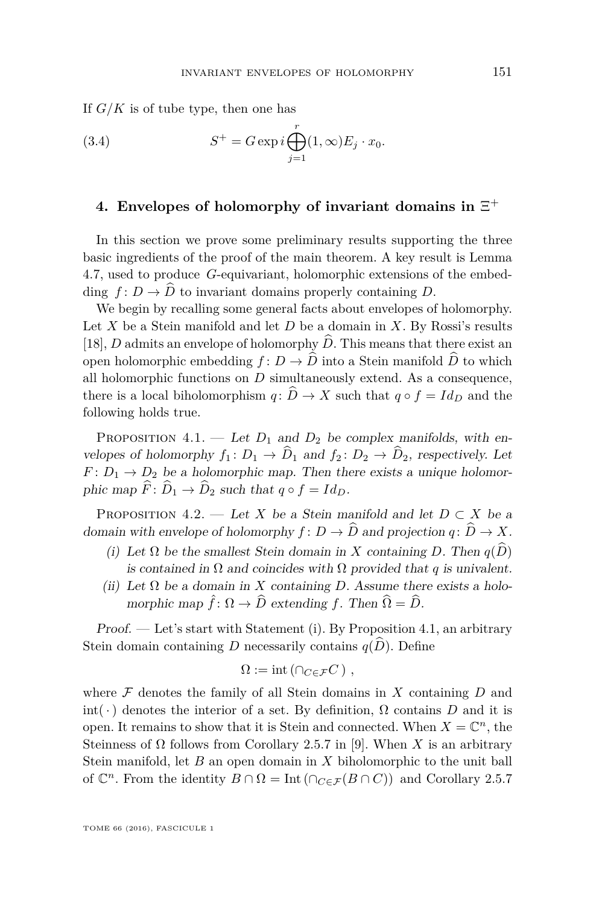If *G/K* is of tube type, then one has

<span id="page-9-2"></span>(3.4) 
$$
S^{+} = G \exp i \bigoplus_{j=1}^{r} (1, \infty) E_j \cdot x_0.
$$

# **4. Envelopes of holomorphy of invariant domains in** Ξ +

In this section we prove some preliminary results supporting the three basic ingredients of the proof of the main theorem. A key result is Lemma 4.7, used to produce *G*-equivariant, holomorphic extensions of the embedding  $f: D \to \widehat{D}$  to invariant domains properly containing *D*.

We begin by recalling some general facts about envelopes of holomorphy. Let *X* be a Stein manifold and let *D* be a domain in *X*. By Rossi's results [\[18\]](#page-32-0), *D* admits an envelope of holomorphy  $\widehat{D}$ . This means that there exist an open holomorphic embedding  $f: D \to \widehat{D}$  into a Stein manifold  $\widehat{D}$  to which all holomorphic functions on *D* simultaneously extend. As a consequence, there is a local biholomorphism  $q: \hat{D} \to X$  such that  $q \circ f = Id_D$  and the following holds true.

<span id="page-9-1"></span>PROPOSITION 4.1. — Let  $D_1$  and  $D_2$  be complex manifolds, with envelopes of holomorphy  $f_1: D_1 \to \widehat{D}_1$  and  $f_2: D_2 \to \widehat{D}_2$ , respectively. Let  $F: D_1 \to D_2$  be a holomorphic map. Then there exists a unique holomorphic map  $\widehat{F}: \widehat{D}_1 \to \widehat{D}_2$  such that  $q \circ f = Id_D$ .

<span id="page-9-0"></span>PROPOSITION 4.2. — Let *X* be a Stein manifold and let  $D \subset X$  be a domain with envelope of holomorphy  $f: D \to \widehat{D}$  and projection  $q: \widehat{D} \to X$ .

- (i) Let  $\Omega$  be the smallest Stein domain in X containing *D*. Then  $q(\widehat{D})$ is contained in  $\Omega$  and coincides with  $\Omega$  provided that *q* is univalent.
- (ii) Let  $\Omega$  be a domain in *X* containing *D*. Assume there exists a holomorphic map  $\hat{f}: \Omega \to \widehat{D}$  extending *f*. Then  $\widehat{\Omega} = \widehat{D}$ .

Proof. — Let's start with Statement (i). By Proposition 4.1, an arbitrary Stein domain containing *D* necessarily contains  $q(D)$ . Define

$$
\Omega := \mathrm{int} \left( \cap_{C \in \mathcal{F}} C \right),
$$

where  $F$  denotes the family of all Stein domains in  $X$  containing  $D$  and int( $\cdot$ ) denotes the interior of a set. By definition,  $\Omega$  contains  $D$  and it is open. It remains to show that it is Stein and connected. When  $X = \mathbb{C}^n$ , the Steinness of  $\Omega$  follows from Corollary 2.5.7 in [\[9\]](#page-31-12). When *X* is an arbitrary Stein manifold, let *B* an open domain in *X* biholomorphic to the unit ball of  $\mathbb{C}^n$ . From the identity  $B \cap \Omega = \text{Int}(\bigcap_{C \in \mathcal{F}} (B \cap C))$  and Corollary 2.5.7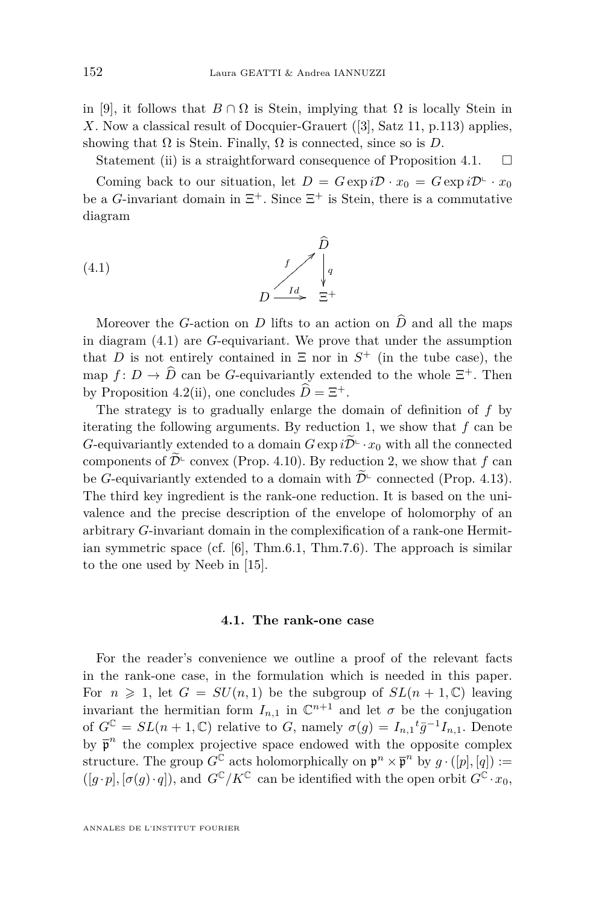in [\[9\]](#page-31-12), it follows that  $B \cap \Omega$  is Stein, implying that  $\Omega$  is locally Stein in *X*. Now a classical result of Docquier-Grauert ([\[3\]](#page-31-13), Satz 11, p.113) applies, showing that  $\Omega$  is Stein. Finally,  $\Omega$  is connected, since so is *D*.

Statement (ii) is a straightforward consequence of Proposition 4.1.  $\Box$ 

Coming back to our situation, let  $D = G \exp i\mathcal{D} \cdot x_0 = G \exp i\mathcal{D} \cdot x_0$ be a *G*-invariant domain in  $\Xi^+$ . Since  $\Xi^+$  is Stein, there is a commutative diagram

<span id="page-10-0"></span>
$$
(4.1)
$$
\n
$$
D \xrightarrow{f} \begin{bmatrix} D \\ q \\ p \end{bmatrix} q
$$
\n
$$
D \xrightarrow{Id} \begin{bmatrix} 1 & 0 \\ 0 & 1 \end{bmatrix}
$$

Moreover the *G*-action on *D* lifts to an action on  $\hat{D}$  and all the maps in diagram [\(4.1\)](#page-10-0) are *G*-equivariant. We prove that under the assumption that *D* is not entirely contained in  $\Xi$  nor in  $S^+$  (in the tube case), the map  $f: D \to D$  can be *G*-equivariantly extended to the whole  $\Xi^+$ . Then by Proposition [4.2\(](#page-9-0)ii), one concludes  $\hat{D} = \Xi^+$ .

The strategy is to gradually enlarge the domain of definition of *f* by iterating the following arguments. By reduction 1, we show that *f* can be *G*-equivariantly extended to a domain  $G \exp i\widetilde{\mathcal{D}}^{\perp} \cdot x_0$  with all the connected components of  $\widetilde{\mathcal{D}}^{\mathsf{L}}$  convex (Prop. [4.10\)](#page-18-0). By reduction 2, we show that *f* can be *G*-equivariantly extended to a domain with  $\widetilde{\mathcal{D}}^{\text{L}}$  connected (Prop. [4.13\)](#page-21-0). The third key ingredient is the rank-one reduction. It is based on the univalence and the precise description of the envelope of holomorphy of an arbitrary *G*-invariant domain in the complexification of a rank-one Hermitian symmetric space (cf. [\[6\]](#page-31-4), Thm.6.1, Thm.7.6). The approach is similar to the one used by Neeb in [\[15\]](#page-31-9).

#### **4.1. The rank-one case**

For the reader's convenience we outline a proof of the relevant facts in the rank-one case, in the formulation which is needed in this paper. For  $n \geq 1$ , let  $G = SU(n,1)$  be the subgroup of  $SL(n + 1, \mathbb{C})$  leaving invariant the hermitian form  $I_{n,1}$  in  $\mathbb{C}^{n+1}$  and let  $\sigma$  be the conjugation of  $G^{\mathbb{C}} = SL(n+1,\mathbb{C})$  relative to *G*, namely  $\sigma(g) = I_{n,1} {}^t\overline{g}^{-1}I_{n,1}$ . Denote by  $\bar{\mathfrak{p}}^n$  the complex projective space endowed with the opposite complex structure. The group  $G^{\mathbb{C}}$  acts holomorphically on  $\mathfrak{p}^n \times \overline{\mathfrak{p}}^n$  by  $g \cdot ([p], [q]) :=$  $([g \cdot p], [\sigma(g) \cdot q])$ , and  $G^{\mathbb{C}}/K^{\mathbb{C}}$  can be identified with the open orbit  $G^{\mathbb{C}} \cdot x_0$ ,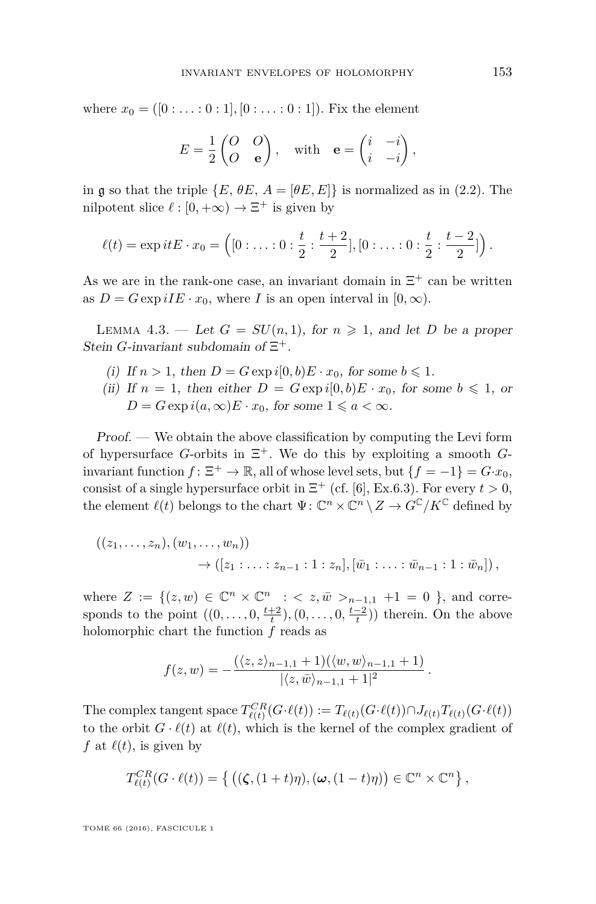where  $x_0 = ([0 : \ldots : 0 : 1], [0 : \ldots : 0 : 1])$ . Fix the element

$$
E = \frac{1}{2} \begin{pmatrix} O & O \\ O & \mathbf{e} \end{pmatrix}, \text{ with } \mathbf{e} = \begin{pmatrix} i & -i \\ i & -i \end{pmatrix},
$$

in g so that the triple  $\{E, \theta E, A = [\theta E, E]\}$  is normalized as in [\(2.2\)](#page-5-1). The nilpotent slice  $\ell : [0, +\infty) \to \Xi^+$  is given by

$$
\ell(t) = \exp itE \cdot x_0 = \left( [0: \ldots: 0: \frac{t}{2}: \frac{t+2}{2}], [0: \ldots: 0: \frac{t}{2}: \frac{t-2}{2}] \right).
$$

As we are in the rank-one case, an invariant domain in  $\Xi^+$  can be written as  $D = G \exp iI E \cdot x_0$ , where *I* is an open interval in  $[0, \infty)$ .

<span id="page-11-0"></span>LEMMA 4.3. — Let  $G = SU(n,1)$ , for  $n \ge 1$ , and let *D* be a proper Stein *G*-invariant subdomain of  $\Xi^+$ .

- (i) If  $n > 1$ , then  $D = G \exp i[0, b]E \cdot x_0$ , for some  $b \leq 1$ .
- (ii) If  $n = 1$ , then either  $D = G \exp i[0, b)E \cdot x_0$ , for some  $b \leq 1$ , or  $D = G \exp i(a, \infty) E \cdot x_0$ , for some  $1 \leq a < \infty$ .

Proof. — We obtain the above classification by computing the Levi form of hypersurface *G*-orbits in Ξ <sup>+</sup>. We do this by exploiting a smooth *G*invariant function  $f: \Xi^+ \to \mathbb{R}$ , all of whose level sets, but  $\{f = -1\} = G \cdot x_0$ , consist of a single hypersurface orbit in  $\Xi^+$  (cf. [\[6\]](#page-31-4), Ex.6.3). For every  $t > 0$ , the element  $\ell(t)$  belongs to the chart  $\Psi: \mathbb{C}^n \times \mathbb{C}^n \setminus Z \to G^{\mathbb{C}}/K^{\mathbb{C}}$  defined by

$$
((z_1,..., z_n), (w_1,..., w_n))
$$
  
 $\rightarrow ([z_1:...: z_{n-1}: 1: z_n], [\bar{w}_1:...: \bar{w}_{n-1}: 1: \bar{w}_n]),$ 

where  $Z := \{(z, w) \in \mathbb{C}^n \times \mathbb{C}^n : \langle z, \bar{w} \rangle_{n-1,1} + 1 = 0 \}$ , and corresponds to the point  $((0, \ldots, 0, \frac{t+2}{t}), (0, \ldots, 0, \frac{t-2}{t}))$  therein. On the above holomorphic chart the function *f* reads as

$$
f(z,w) = -\frac{(\langle z,z \rangle_{n-1,1} + 1)(\langle w,w \rangle_{n-1,1} + 1)}{|\langle z,\bar{w} \rangle_{n-1,1} + 1|^2}.
$$

The complex tangent space  $T_{\ell(t)}^{CR}(G \cdot \ell(t)) := T_{\ell(t)}(G \cdot \ell(t)) \cap J_{\ell(t)} T_{\ell(t)}(G \cdot \ell(t))$ to the orbit  $G \cdot \ell(t)$  at  $\ell(t)$ , which is the kernel of the complex gradient of *f* at  $\ell(t)$ , is given by

$$
T_{\ell(t)}^{CR}(G\cdot \ell(t))=\left\{\left((\boldsymbol{\zeta},(1+t)\eta),(\boldsymbol{\omega},(1-t)\eta)\right)\in\mathbb{C}^n\times\mathbb{C}^n\right\},\,
$$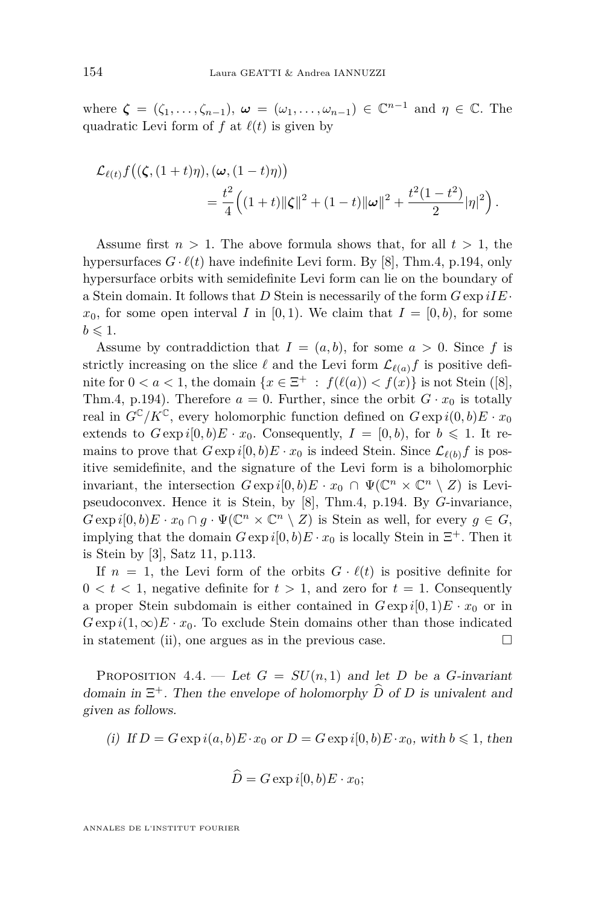where  $\boldsymbol{\zeta} = (\zeta_1, \ldots, \zeta_{n-1}), \boldsymbol{\omega} = (\omega_1, \ldots, \omega_{n-1}) \in \mathbb{C}^{n-1}$  and  $\eta \in \mathbb{C}$ . The quadratic Levi form of  $f$  at  $\ell(t)$  is given by

$$
\mathcal{L}_{\ell(t)} f\big((\zeta, (1+t)\eta), (\omega, (1-t)\eta)\big) \\ = \frac{t^2}{4} \Big((1+t) \|\zeta\|^2 + (1-t) \|\omega\|^2 + \frac{t^2(1-t^2)}{2} |\eta|^2\Big).
$$

Assume first  $n > 1$ . The above formula shows that, for all  $t > 1$ , the hypersurfaces  $G \cdot \ell(t)$  have indefinite Levi form. By [\[8\]](#page-31-14), Thm.4, p.194, only hypersurface orbits with semidefinite Levi form can lie on the boundary of a Stein domain. It follows that *D* Stein is necessarily of the form *G* exp *iIE*·  $x_0$ , for some open interval *I* in [0, 1]. We claim that  $I = [0, b)$ , for some  $b \leqslant 1$ .

Assume by contraddiction that  $I = (a, b)$ , for some  $a > 0$ . Since f is strictly increasing on the slice  $\ell$  and the Levi form  $\mathcal{L}_{\ell(a)}f$  is positive definite for  $0 < a < 1$ , the domain  $\{x \in \Xi^+ : f(\ell(a)) < f(x)\}$  is not Stein ([\[8\]](#page-31-14), Thm.4, p.194). Therefore  $a = 0$ . Further, since the orbit  $G \cdot x_0$  is totally real in  $G^{\mathbb{C}}/K^{\mathbb{C}}$ , every holomorphic function defined on  $G \exp i(0, b)E \cdot x_0$ extends to  $G \exp i[0, b]E \cdot x_0$ . Consequently,  $I = [0, b)$ , for  $b \le 1$ . It remains to prove that  $G \exp i[0, b]E \cdot x_0$  is indeed Stein. Since  $\mathcal{L}_{\ell(b)}f$  is positive semidefinite, and the signature of the Levi form is a biholomorphic invariant, the intersection  $G \exp i[0, b)E \cdot x_0 \cap \Psi(\mathbb{C}^n \times \mathbb{C}^n \setminus Z)$  is Levipseudoconvex. Hence it is Stein, by [\[8\]](#page-31-14), Thm.4, p.194. By *G*-invariance,  $G \exp i[0, b]E \cdot x_0 \cap g \cdot \Psi(\mathbb{C}^n \times \mathbb{C}^n \setminus Z)$  is Stein as well, for every  $g \in G$ , implying that the domain  $G \exp i[0, b]E \cdot x_0$  is locally Stein in  $\Xi^+$ . Then it is Stein by [\[3\]](#page-31-13), Satz 11, p.113.

If  $n = 1$ , the Levi form of the orbits  $G \cdot \ell(t)$  is positive definite for  $0 < t < 1$ , negative definite for  $t > 1$ , and zero for  $t = 1$ . Consequently a proper Stein subdomain is either contained in  $G \exp i[0,1)E \cdot x_0$  or in  $G \exp i(1, \infty) E \cdot x_0$ . To exclude Stein domains other than those indicated in statement (ii), one argues as in the previous case.  $\Box$ 

<span id="page-12-0"></span>PROPOSITION 4.4. — Let  $G = SU(n,1)$  and let *D* be a *G*-invariant domain in  $\Xi^+$ . Then the envelope of holomorphy  $\widehat{D}$  of *D* is univalent and given as follows.

(i) If 
$$
D = G \exp i(a, b) E \cdot x_0
$$
 or  $D = G \exp i[0, b) E \cdot x_0$ , with  $b \leq 1$ , then

$$
\hat{D}=G\exp i[0,b)E\cdot x_0;
$$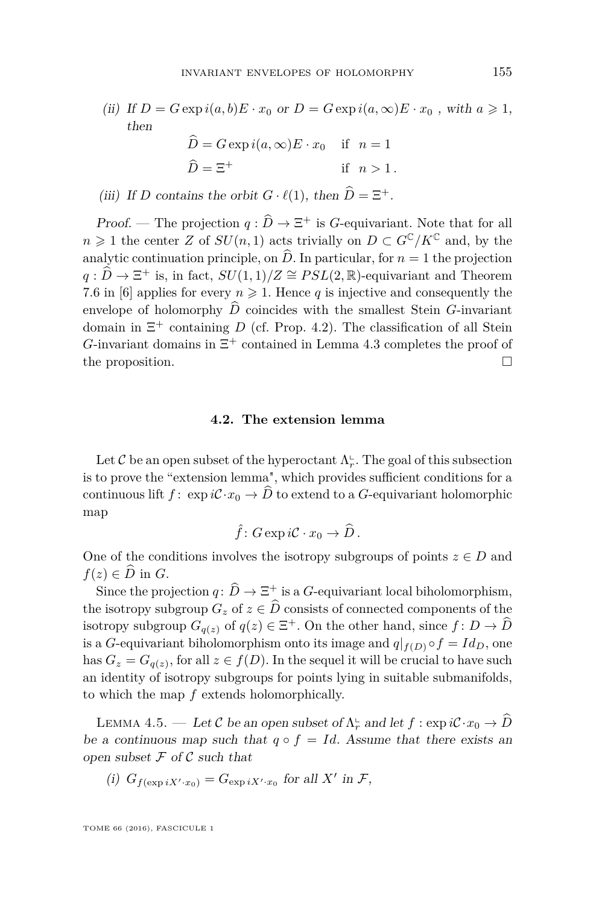(ii) If  $D = G \exp i(a, b)E \cdot x_0$  or  $D = G \exp i(a, \infty)E \cdot x_0$ , with  $a \geq 1$ , then  $\hat{D} = G \exp(i(a, \infty) E \cdot x_0$  if  $n = 1$ 

$$
\widehat{D} = \Xi^+ \qquad \text{if } n > 1.
$$

(iii) If *D* contains the orbit  $G \cdot \ell(1)$ , then  $\widehat{D} = \Xi^+$ .

Proof. — The projection  $q : \hat{D} \to \Xi^+$  is *G*-equivariant. Note that for all *n* ≥ 1 the center *Z* of *SU*(*n*, 1) acts trivially on *D* ⊂  $G^{\mathbb{C}}/K^{\mathbb{C}}$  and, by the analytic continuation principle, on  $\hat{D}$ . In particular, for  $n = 1$  the projection  $q: \widehat{D} \to \Xi^+$  is, in fact,  $SU(1,1)/Z \cong PSL(2,\mathbb{R})$ -equivariant and Theorem 7.6 in [\[6\]](#page-31-4) applies for every  $n \geq 1$ . Hence q is injective and consequently the envelope of holomorphy  $\widehat{D}$  coincides with the smallest Stein *G*-invariant domain in Ξ <sup>+</sup> containing *D* (cf. Prop. [4.2\)](#page-9-0). The classification of all Stein *G*-invariant domains in  $\Xi$ <sup>+</sup> contained in Lemma [4.3](#page-11-0) completes the proof of the proposition.

#### **4.2. The extension lemma**

Let  $\mathcal C$  be an open subset of the hyperoctant  $\Lambda_r^{\mathsf L}$ . The goal of this subsection is to prove the "extension lemma", which provides sufficient conditions for a continuous lift  $f: \exp i\mathcal{C} \cdot x_0 \to \widehat{D}$  to extend to a *G*-equivariant holomorphic map

$$
\hat{f} \colon G \exp i\mathcal{C} \cdot x_0 \to \widehat{D} \, .
$$

One of the conditions involves the isotropy subgroups of points  $z \in D$  and  $f(z) \in \overline{D}$  in *G*.

Since the projection  $q: \overline{D} \to \Xi^+$  is a *G*-equivariant local biholomorphism, the isotropy subgroup  $G_z$  of  $z \in \widehat{D}$  consists of connected components of the isotropy subgroup  $G_{q(z)}$  of  $q(z) \in \Xi^+$ . On the other hand, since  $f: D \to \widehat{D}$ is a *G*-equivariant biholomorphism onto its image and  $q|_{f(D)} \circ f = Id_D$ , one has  $G_z = G_{q(z)}$ , for all  $z \in f(D)$ . In the sequel it will be crucial to have such an identity of isotropy subgroups for points lying in suitable submanifolds, to which the map *f* extends holomorphically.

<span id="page-13-0"></span>LEMMA 4.5. — Let C be an open subset of  $\Lambda_r^{\text{L}}$  and let  $f : \exp i\mathcal{C} \cdot x_0 \to \widehat{D}$ be a continuous map such that  $q \circ f = Id$ . Assume that there exists an open subset  $\mathcal F$  of  $\mathcal C$  such that

(i) 
$$
G_{f(\exp iX'\cdot x_0)} = G_{\exp iX'\cdot x_0}
$$
 for all X' in  $\mathcal{F}$ ,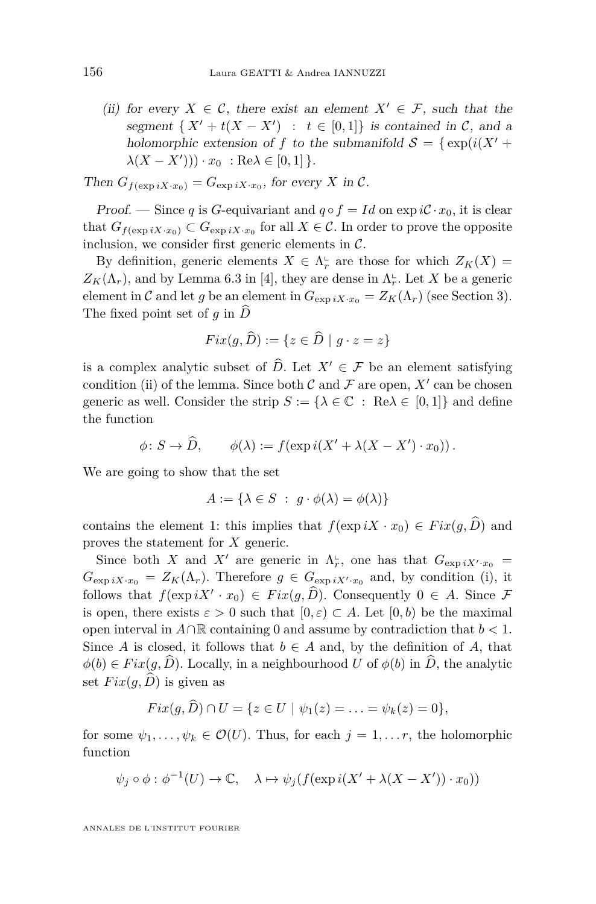(ii) for every  $X \in \mathcal{C}$ , there exist an element  $X' \in \mathcal{F}$ , such that the segment  $\{X' + t(X - X') : t \in [0,1]\}$  is contained in C, and a holomorphic extension of *f* to the submanifold  $S = \{ \exp(i(X^{\prime} +$  $\lambda(X - X'))$ ) ·  $x_0$  : Re $\lambda \in [0, 1]$  }.

Then 
$$
G_{f(\exp iX \cdot x_0)} = G_{\exp iX \cdot x_0}
$$
, for every X in C.

Proof. — Since *q* is *G*-equivariant and  $q \circ f = Id$  on  $\exp iC \cdot x_0$ , it is clear that  $G_{f(\exp iX \cdot x_0)} \subset G_{\exp iX \cdot x_0}$  for all  $X \in \mathcal{C}$ . In order to prove the opposite inclusion, we consider first generic elements in  $\mathcal{C}$ .

By definition, generic elements  $X \in \Lambda_r^{\mathbb{L}}$  are those for which  $Z_K(X)$  =  $Z_K(\Lambda_r)$ , and by Lemma 6.3 in [\[4\]](#page-31-7), they are dense in  $\Lambda_r^{\mathsf{L}}$ . Let *X* be a generic element in C and let g be an element in  $G_{\exp iX \cdot x_0} = Z_K(\Lambda_r)$  (see Section [3\)](#page-6-0). The fixed point set of  $q$  in  $\widehat{D}$ 

$$
Fix(g,\widehat{D}):=\{z\in\widehat{D}\mid g\cdot z=z\}
$$

is a complex analytic subset of  $\widehat{D}$ . Let  $X' \in \mathcal{F}$  be an element satisfying condition (ii) of the lemma. Since both  $\mathcal C$  and  $\mathcal F$  are open,  $X'$  can be chosen generic as well. Consider the strip  $S := {\lambda \in \mathbb{C} : \text{Re}\lambda \in [0,1]}$  and define the function

$$
\phi \colon S \to \widehat{D}, \qquad \phi(\lambda) := f(\exp i(X' + \lambda(X - X') \cdot x_0)).
$$

We are going to show that the set

$$
A := \{ \lambda \in S \; : \; g \cdot \phi(\lambda) = \phi(\lambda) \}
$$

contains the element 1: this implies that  $f(\exp iX \cdot x_0) \in Fix(g, \widehat{D})$  and proves the statement for *X* generic.

Since both *X* and *X*<sup>*'*</sup> are generic in  $\Lambda_r^{\text{L}}$ , one has that  $G_{\exp iX' \cdot x_0}$  =  $G_{\exp iX \cdot x_0} = Z_K(\Lambda_r)$ . Therefore  $g \in G_{\exp iX' \cdot x_0}$  and, by condition (i), it follows that  $f(\exp iX' \cdot x_0) \in Fix(g, \hat{D})$ . Consequently  $0 \in A$ . Since  $\mathcal{F}$ is open, there exists  $\varepsilon > 0$  such that  $[0, \varepsilon) \subset A$ . Let  $[0, b)$  be the maximal open interval in *A*∩R containing 0 and assume by contradiction that *b <* 1. Since *A* is closed, it follows that  $b \in A$  and, by the definition of *A*, that  $\phi(b) \in Fix(g, \hat{D})$ . Locally, in a neighbourhood *U* of  $\phi(b)$  in *D*, the analytic set  $Fix(q,\widehat{D})$  is given as

$$
Fix(g, D) \cap U = \{ z \in U \mid \psi_1(z) = \ldots = \psi_k(z) = 0 \},\
$$

for some  $\psi_1, \ldots, \psi_k \in \mathcal{O}(U)$ . Thus, for each  $j = 1, \ldots r$ , the holomorphic function

$$
\psi_j \circ \phi : \phi^{-1}(U) \to \mathbb{C}, \quad \lambda \mapsto \psi_j(f(\exp i(X' + \lambda(X - X')) \cdot x_0))
$$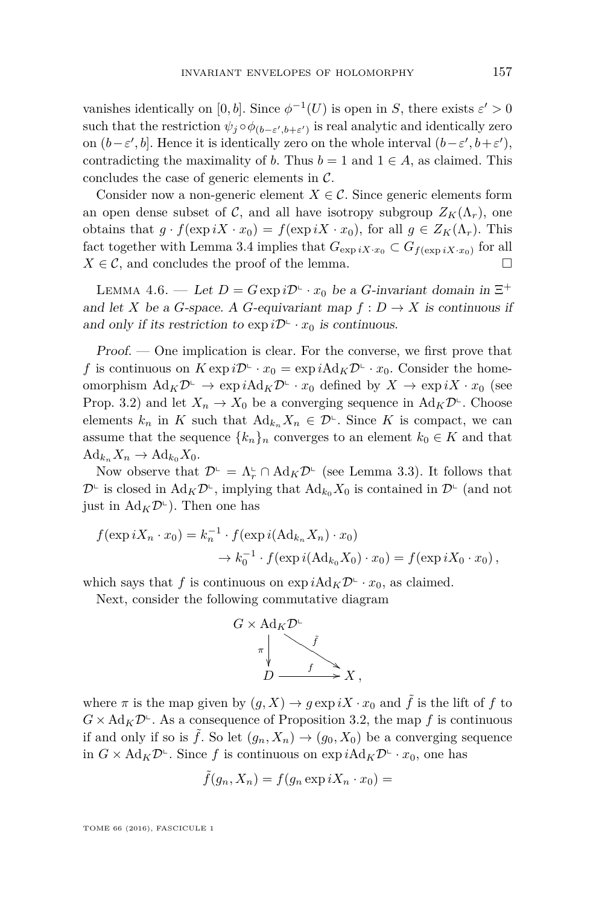vanishes identically on [0, b]. Since  $\phi^{-1}(U)$  is open in *S*, there exists  $\varepsilon' > 0$  $\text{such that the restriction } \psi_j \circ \phi_{(b-\varepsilon',b+\varepsilon')} \text{ is real analytic and identically zero}$ on  $(b-\varepsilon', b]$ . Hence it is identically zero on the whole interval  $(b-\varepsilon', b+\varepsilon')$ , contradicting the maximality of *b*. Thus  $b = 1$  and  $1 \in A$ , as claimed. This concludes the case of generic elements in  $\mathcal{C}$ .

Consider now a non-generic element  $X \in \mathcal{C}$ . Since generic elements form an open dense subset of C, and all have isotropy subgroup  $Z_K(\Lambda_r)$ , one obtains that  $g \cdot f(\exp iX \cdot x_0) = f(\exp iX \cdot x_0)$ , for all  $g \in Z_K(\Lambda_r)$ . This fact together with Lemma [3.4](#page-8-0) implies that  $G_{\exp iX \cdot x_0} \subset G_{f(\exp iX \cdot x_0)}$  for all  $X \in \mathcal{C}$ , and concludes the proof of the lemma.

<span id="page-15-0"></span>LEMMA 4.6. — Let  $D = G \exp i\mathcal{D}^{\mathbb{L}} \cdot x_0$  be a *G*-invariant domain in  $\Xi^+$ and let *X* be a *G*-space. A *G*-equivariant map  $f: D \to X$  is continuous if and only if its restriction to  $\exp i\mathcal{D}^{\mathsf{L}} \cdot x_0$  is continuous.

Proof. — One implication is clear. For the converse, we first prove that *f* is continuous on  $K \exp i\mathcal{D}^{\mathbb{L}} \cdot x_0 = \exp i \text{Ad}_K \mathcal{D}^{\mathbb{L}} \cdot x_0$ . Consider the homeomorphism  $\text{Ad}_K \mathcal{D}^{\mathbb{L}} \to \exp i \text{Ad}_K \mathcal{D}^{\mathbb{L}} \cdot x_0 \text{ defined by } X \to \exp iX \cdot x_0 \text{ (see }$ Prop. [3.2\)](#page-7-0) and let  $X_n \to X_0$  be a converging sequence in  $\text{Ad}_K \mathcal{D}^{\mathbb{L}}$ . Choose elements  $k_n$  in K such that  $Ad_{k_n} X_n \in \mathcal{D}^{\mathbb{L}}$ . Since K is compact, we can assume that the sequence  ${k_n}_n$  converges to an element  $k_0 \in K$  and that  $\text{Ad}_{k_n} X_n \to \text{Ad}_{k_0} X_0.$ 

Now observe that  $\mathcal{D}^{\mathsf{L}} = \Lambda_r^{\mathsf{L}} \cap \text{Ad}_K \mathcal{D}^{\mathsf{L}}$  (see Lemma [3.3\)](#page-7-1). It follows that  $\mathcal{D}^{\mathsf{L}}$  is closed in  $\text{Ad}_K \mathcal{D}^{\mathsf{L}}$ , implying that  $\text{Ad}_{k_0} X_0$  is contained in  $\mathcal{D}^{\mathsf{L}}$  (and not just in  $\text{Ad}_K \mathcal{D}^{\mathbb{L}}$ ). Then one has

$$
f(\exp iX_n \cdot x_0) = k_n^{-1} \cdot f(\exp i(\text{Ad}_{k_n} X_n) \cdot x_0)
$$
  

$$
\rightarrow k_0^{-1} \cdot f(\exp i(\text{Ad}_{k_0} X_0) \cdot x_0) = f(\exp iX_0 \cdot x_0),
$$

which says that *f* is continuous on  $\exp i \text{Ad}_K \mathcal{D}^{\mathbb{L}} \cdot x_0$ , as claimed.

Next, consider the following commutative diagram



where  $\pi$  is the map given by  $(g, X) \to g \exp iX \cdot x_0$  and  $\tilde{f}$  is the lift of f to  $G \times \text{Ad}_K \mathcal{D}^{\mathbb{L}}$ . As a consequence of Proposition [3.2,](#page-7-0) the map *f* is continuous if and only if so is  $\tilde{f}$ . So let  $(g_n, X_n) \to (g_0, X_0)$  be a converging sequence in  $G \times \text{Ad}_K \mathcal{D}^{\mathbb{L}}$ . Since f is continuous on  $\exp i \text{Ad}_K \mathcal{D}^{\mathbb{L}} \cdot x_0$ , one has

$$
\tilde{f}(g_n, X_n) = f(g_n \exp iX_n \cdot x_0) =
$$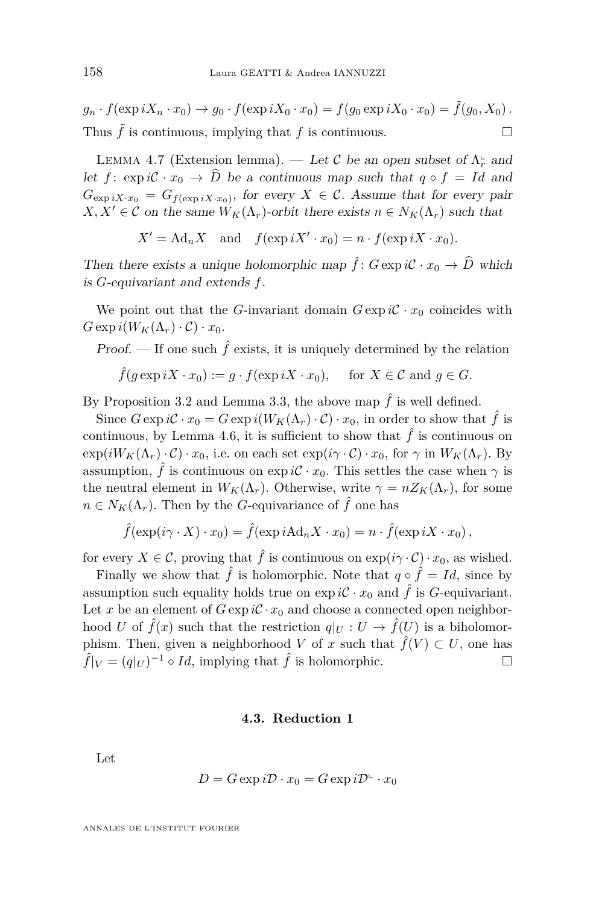$g_n \cdot f(\exp iX_n \cdot x_0) \to g_0 \cdot f(\exp iX_0 \cdot x_0) = f(g_0 \exp iX_0 \cdot x_0) = \tilde{f}(g_0, X_0)$ . Thus  $\tilde{f}$  is continuous, implying that  $f$  is continuous.

<span id="page-16-0"></span>LEMMA 4.7 (Extension lemma). — Let C be an open subset of  $\Lambda_r^{\text{L}}$  and let  $f: \exp i\mathcal{C} \cdot x_0 \to \widehat{D}$  be a continuous map such that  $q \circ f = Id$  and  $G_{\exp iX \cdot x_0} = G_{f(\exp iX \cdot x_0)}$ , for every  $X \in \mathcal{C}$ . Assume that for every pair  $X, X' \in \mathcal{C}$  on the same  $W_K(\Lambda_r)$ -orbit there exists  $n \in N_K(\Lambda_r)$  such that

$$
X' = \mathrm{Ad}_n X \quad \text{and} \quad f(\exp iX' \cdot x_0) = n \cdot f(\exp iX \cdot x_0).
$$

Then there exists a unique holomorphic map  $\hat{f}$ :  $G \exp i\mathcal{C} \cdot x_0 \to \hat{D}$  which is *G*-equivariant and extends *f*.

We point out that the *G*-invariant domain  $G \exp i\mathcal{C} \cdot x_0$  coincides with  $G \exp i(W_K(\Lambda_r) \cdot C) \cdot x_0$ .

Proof. — If one such  $\hat{f}$  exists, it is uniquely determined by the relation

$$
\hat{f}(g \exp iX \cdot x_0) := g \cdot f(\exp iX \cdot x_0), \quad \text{ for } X \in \mathcal{C} \text{ and } g \in G.
$$

By Proposition [3.2](#page-7-0) and Lemma [3.3,](#page-7-1) the above map  $\hat{f}$  is well defined.

Since  $G \exp i\mathcal{C} \cdot x_0 = G \exp i(W_K(\Lambda_r) \cdot \mathcal{C}) \cdot x_0$ , in order to show that  $\hat{f}$  is continuous, by Lemma [4.6,](#page-15-0) it is sufficient to show that  $\hat{f}$  is continuous on  $\exp(iW_K(\Lambda_r) \cdot C) \cdot x_0$ , i.e. on each set  $\exp(i\gamma \cdot C) \cdot x_0$ , for  $\gamma$  in  $W_K(\Lambda_r)$ . By assumption,  $\hat{f}$  is continuous on  $\exp i\mathcal{C} \cdot x_0$ . This settles the case when  $\gamma$  is the neutral element in  $W_K(\Lambda_r)$ . Otherwise, write  $\gamma = n Z_K(\Lambda_r)$ , for some  $n \in N_K(\Lambda_r)$ . Then by the *G*-equivariance of  $\hat{f}$  one has

$$
\hat{f}(\exp(i\gamma \cdot X) \cdot x_0) = \hat{f}(\exp iA d_n X \cdot x_0) = n \cdot \hat{f}(\exp iX \cdot x_0),
$$

for every  $X \in \mathcal{C}$ , proving that  $\hat{f}$  is continuous on  $\exp(i\gamma \cdot \mathcal{C}) \cdot x_0$ , as wished.

Finally we show that  $\hat{f}$  is holomorphic. Note that  $q \circ \hat{f} = Id$ , since by assumption such equality holds true on  $\exp i\mathcal{C} \cdot x_0$  and  $\hat{f}$  is *G*-equivariant. Let *x* be an element of  $G \exp i\mathcal{C} \cdot x_0$  and choose a connected open neighborhood *U* of  $\hat{f}(x)$  such that the restriction  $q|_U : U \to \hat{f}(U)$  is a biholomorphism. Then, given a neighborhood *V* of *x* such that  $\hat{f}(V) \subset U$ , one has  $\hat{f}|_V = (q|_U)^{-1} \circ Id$ , implying that  $\hat{f}$  is holomorphic.

#### **4.3. Reduction 1**

Let

$$
D = G \exp i\mathcal{D} \cdot x_0 = G \exp i\mathcal{D}^{\mathbb{L}} \cdot x_0
$$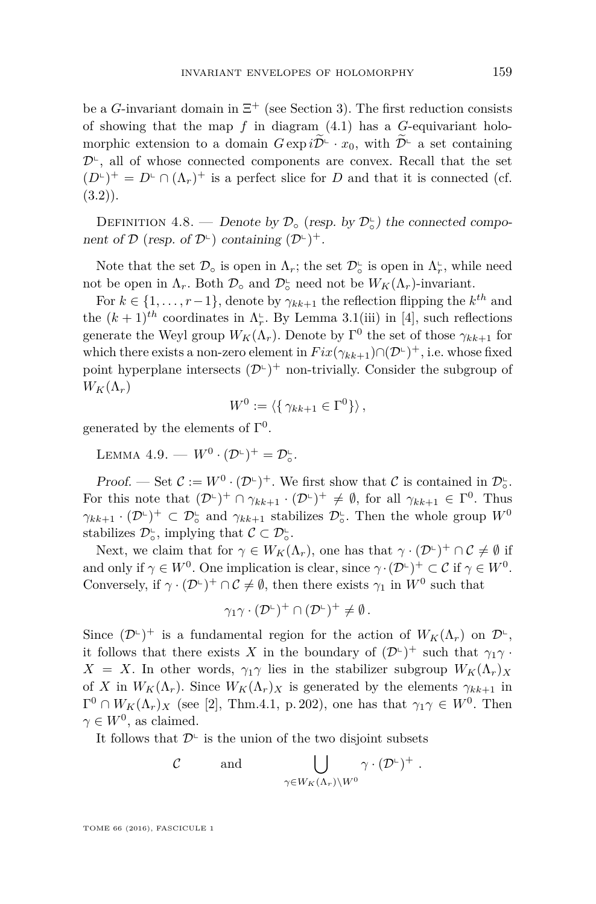be a *G*-invariant domain in  $\Xi^+$  (see Section [3\)](#page-6-0). The first reduction consists of showing that the map *f* in diagram [\(4.1\)](#page-10-0) has a *G*-equivariant holomorphic extension to a domain  $G \exp i \widetilde{\mathcal{D}}^{\mathsf{L}} \cdot x_0$ , with  $\widetilde{\mathcal{D}}^{\mathsf{L}}$  a set containing  $\mathcal{D}^{\mathsf{L}}$ , all of whose connected components are convex. Recall that the set  $(D^{\mathsf{L}})^+ = D^{\mathsf{L}} \cap (\Lambda_r)^+$  is a perfect slice for *D* and that it is connected (cf.  $(3.2)$ .

<span id="page-17-0"></span>DEFINITION 4.8. — Denote by  $\mathcal{D}_{\circ}$  (resp. by  $\mathcal{D}_{\circ}^{\circ}$ ) the connected component of  $\mathcal{D}$  (resp. of  $\mathcal{D}^{\mathbb{L}}$ ) containing  $(\mathcal{D}^{\mathbb{L}})^+$ .

Note that the set  $\mathcal{D}_{\circ}$  is open in  $\Lambda_r$ ; the set  $\mathcal{D}_{\circ}^{\mathsf{L}}$  is open in  $\Lambda_r^{\mathsf{L}}$ , while need not be open in  $\Lambda_r$ . Both  $\mathcal{D}_\circ$  and  $\mathcal{D}_\circ$  need not be  $W_K(\Lambda_r)$ -invariant.

For  $k \in \{1, \ldots, r-1\}$ , denote by  $\gamma_{kk+1}$  the reflection flipping the  $k^{th}$  and the  $(k+1)^{th}$  coordinates in  $\Lambda_r^{\mathbb{L}}$ . By Lemma 3.1(iii) in [\[4\]](#page-31-7), such reflections generate the Weyl group  $W_K(\Lambda_r)$ . Denote by  $\Gamma^0$  the set of those  $\gamma_{kk+1}$  for which there exists a non-zero element in  $Fix(\gamma_{kk+1}) \cap (\mathcal{D}^{\mathbb{L}})^+$ , i.e. whose fixed point hyperplane intersects  $(D^{\mathsf{L}})^+$  non-trivially. Consider the subgroup of  $W_K(\Lambda_r)$ 

$$
W^0 := \langle \{ \gamma_{kk+1} \in \Gamma^0 \} \rangle ,
$$

generated by the elements of  $\Gamma^0$ .

<span id="page-17-1"></span>LEMMA 4.9. —  $W^0 \cdot (\mathcal{D}^{\mathsf{L}})^+ = \mathcal{D}_\circ^{\mathsf{L}}$ .

Proof. — Set  $\mathcal{C} := W^0 \cdot (\mathcal{D}^{\mathbb{L}})^+$ . We first show that  $\mathcal{C}$  is contained in  $\mathcal{D}_\circ^{\mathbb{L}}$ . For this note that  $(\mathcal{D}^{\mathsf{L}})^+ \cap \gamma_{kk+1} \cdot (\mathcal{D}^{\mathsf{L}})^+ \neq \emptyset$ , for all  $\gamma_{kk+1} \in \Gamma^0$ . Thus  $\gamma_{kk+1} \cdot (\mathcal{D}^{\mathbb{L}})^+ \subset \mathcal{D}^{\mathbb{L}}_{\circ}$  and  $\gamma_{kk+1}$  stabilizes  $\mathcal{D}^{\mathbb{L}}_{\circ}$ . Then the whole group  $W^0$ stabilizes  $\mathcal{D}_{\circ}^{\mathsf{L}}$ , implying that  $\mathcal{C} \subset \mathcal{D}_{\circ}^{\mathsf{L}}$ .

Next, we claim that for  $\gamma \in W_K(\Lambda_r)$ , one has that  $\gamma \cdot (\mathcal{D}^{\mathsf{L}})^+ \cap \mathcal{C} \neq \emptyset$  if and only if  $\gamma \in W^0$ . One implication is clear, since  $\gamma \cdot (\mathcal{D}^{\mathbb{L}})^+ \subset \mathcal{C}$  if  $\gamma \in W^0$ . Conversely, if  $\gamma \cdot (\mathcal{D}^{\mathbb{L}})^+ \cap \mathcal{C} \neq \emptyset$ , then there exists  $\gamma_1$  in  $W^0$  such that

$$
\gamma_1\gamma\cdot(\mathcal{D}^{\mathbf{L}})^+\cap(\mathcal{D}^{\mathbf{L}})^+\neq\emptyset.
$$

Since  $(\mathcal{D}^{\mathbb{L}})^+$  is a fundamental region for the action of  $W_K(\Lambda_r)$  on  $\mathcal{D}^{\mathbb{L}},$ it follows that there exists *X* in the boundary of  $(D<sup>L</sup>)$ <sup>+</sup> such that  $\gamma_1 \gamma$ .  $X = X$ . In other words,  $\gamma_1 \gamma$  lies in the stabilizer subgroup  $W_K(\Lambda_r)_X$ of *X* in  $W_K(\Lambda_r)$ . Since  $W_K(\Lambda_r)_X$  is generated by the elements  $\gamma_{k+1}$  in  $\Gamma^0 \cap W_K(\Lambda_r)_X$  (see [\[2\]](#page-31-15), Thm.4.1, p. 202), one has that  $\gamma_1 \gamma \in W^0$ . Then  $\gamma \in W^0$ , as claimed.

It follows that  $\mathcal{D}^{\mathsf{L}}$  is the union of the two disjoint subsets

$$
\mathcal{C} \qquad \text{ and } \qquad \bigcup_{\gamma \in W_K(\Lambda_r) \backslash W^0} \gamma \cdot (\mathcal{D}^{\llcorner})^+ \; .
$$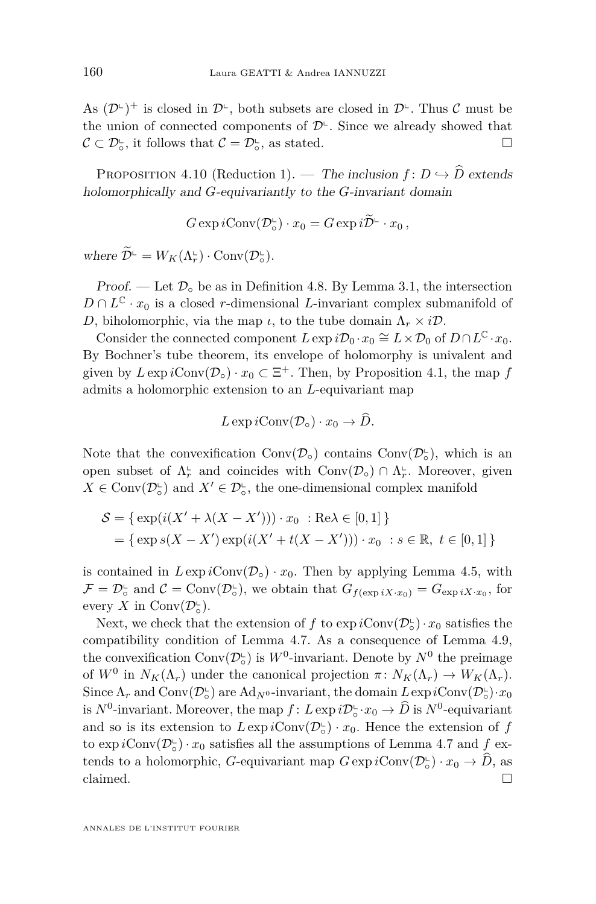As  $(D^{\mathsf{L}})^+$  is closed in  $D^{\mathsf{L}}$ , both subsets are closed in  $D^{\mathsf{L}}$ . Thus  $\mathcal C$  must be the union of connected components of  $\mathcal{D}^{\mathsf{L}}$ . Since we already showed that  $\mathcal{C} \subset \mathcal{D}_{\circ}^{\mathsf{L}}$ , it follows that  $\mathcal{C} = \mathcal{D}_{\circ}^{\mathsf{L}}$ , as stated.

<span id="page-18-0"></span>PROPOSITION 4.10 (Reduction 1). — The inclusion  $f: D \hookrightarrow \widehat{D}$  extends holomorphically and *G*-equivariantly to the *G*-invariant domain

$$
G \exp i \text{Conv}(\mathcal{D}_\circ^\perp) \cdot x_0 = G \exp i \widetilde{\mathcal{D}}^\perp \cdot x_0 ,
$$

where  $\widetilde{\mathcal{D}}^{\mathsf{L}} = W_K(\Lambda_r^{\mathsf{L}}) \cdot \text{Conv}(\mathcal{D}_\circ^{\mathsf{L}})$ .

Proof. — Let  $\mathcal{D}_{\circ}$  be as in Definition [4.8.](#page-17-0) By Lemma [3.1,](#page-7-2) the intersection  $D \cap L^{\mathbb{C}} \cdot x_0$  is a closed *r*-dimensional *L*-invariant complex submanifold of *D*, biholomorphic, via the map *ι*, to the tube domain  $Λ<sub>r</sub> × iD$ .

Consider the connected component  $L \exp i\mathcal{D}_0 \cdot x_0 \cong L \times \mathcal{D}_0$  of  $D \cap L^{\mathbb{C}} \cdot x_0$ . By Bochner's tube theorem, its envelope of holomorphy is univalent and given by  $L \exp i \text{Conv}(\mathcal{D}_0) \cdot x_0 \subset \Xi^+$ . Then, by Proposition [4.1,](#page-9-1) the map  $f$ admits a holomorphic extension to an *L*-equivariant map

$$
L \exp i \text{Conv}(\mathcal{D}_\circ) \cdot x_0 \to D.
$$

Note that the convexification  $Conv(\mathcal{D}_\circ)$  contains  $Conv(\mathcal{D}_\circ^{\mathsf{L}})$ , which is an open subset of  $\Lambda_r^{\mathbb{L}}$  and coincides with  $Conv(\mathcal{D}_o) \cap \Lambda_r^{\mathbb{L}}$ . Moreover, given  $X \in \text{Conv}(\mathcal{D}_\circ^{\mathbb{L}})$  and  $X' \in \mathcal{D}_\circ^{\mathbb{L}}$ , the one-dimensional complex manifold

$$
S = \{ \exp(i(X' + \lambda(X - X'))) \cdot x_0 : \text{Re}\lambda \in [0, 1] \}
$$
  
=  $\{ \exp s(X - X') \exp(i(X' + t(X - X'))) \cdot x_0 : s \in \mathbb{R}, t \in [0, 1] \}$ 

is contained in  $L \exp i \text{Conv}(\mathcal{D}_o) \cdot x_0$ . Then by applying Lemma [4.5,](#page-13-0) with  $\mathcal{F} = \mathcal{D}_{\circ}^{\mathsf{L}}$  and  $\mathcal{C} = \text{Conv}(\mathcal{D}_{\circ}^{\mathsf{L}})$ , we obtain that  $G_{f(\exp iX \cdot x_0)} = G_{\exp iX \cdot x_0}$ , for every *X* in Conv $(\mathcal{D}_\circ^{\mathsf{L}})$ .

Next, we check that the extension of *f* to  $\exp i \text{Conv}(\mathcal{D}_\circ^{\mathbb{L}}) \cdot x_0$  satisfies the compatibility condition of Lemma [4.7.](#page-16-0) As a consequence of Lemma [4.9,](#page-17-1) the convexification  $Conv(\mathcal{D}_\circ^{\mathsf{L}})$  is  $W^0$ -invariant. Denote by  $N^0$  the preimage of  $W^0$  in  $N_K(\Lambda_r)$  under the canonical projection  $\pi \colon N_K(\Lambda_r) \to W_K(\Lambda_r)$ . Since  $\Lambda_r$  and  $Conv(\mathcal{D}_\circ^{\mathsf{L}})$  are  $Ad_{N^0}$ -invariant, the domain  $L \exp iConv(\mathcal{D}_\circ^{\mathsf{L}}) \cdot x_0$ is  $N^0$ -invariant. Moreover, the map  $f: L \exp i\mathcal{D}_\circ \cdot x_0 \to \widehat{D}$  is  $N^0$ -equivariant and so is its extension to  $L \exp i \text{Conv}(\mathcal{D}_\circ^{\mathsf{L}}) \cdot x_0$ . Hence the extension of  $f$ to  $\exp i\text{Conv}(\mathcal{D}_\circ^{\mathbb{L}}) \cdot x_0$  satisfies all the assumptions of Lemma [4.7](#page-16-0) and  $f$  extends to a holomorphic, *G*-equivariant map  $G \exp i \text{Conv}(\mathcal{D}_\circ^{\mathbb{L}}) \cdot x_0 \to \widehat{D}$ , as claimed.  $\Box$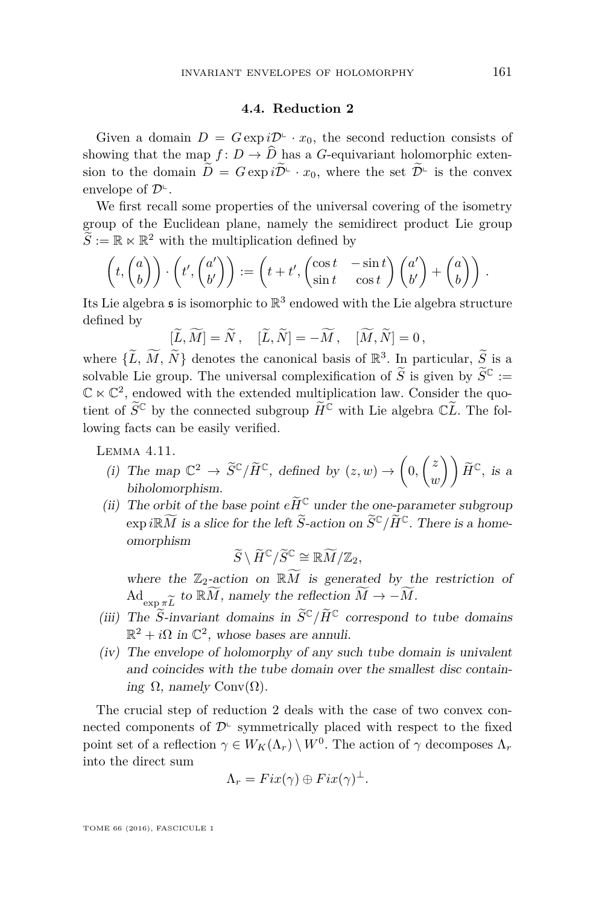### **4.4. Reduction 2**

Given a domain  $D = G \exp i\mathcal{D}^{\perp} \cdot x_0$ , the second reduction consists of showing that the map  $f: D \to \widehat{D}$  has a *G*-equivariant holomorphic extension to the domain  $\widetilde{D} = G \exp i \widetilde{\mathcal{D}}^{\perp} \cdot x_0$ , where the set  $\widetilde{\mathcal{D}}^{\perp}$  is the convex envelope of  $\mathcal{D}^{\mathsf{L}}$ .

We first recall some properties of the universal covering of the isometry group of the Euclidean plane, namely the semidirect product Lie group  $\widetilde{S} := \mathbb{R} \ltimes \mathbb{R}^2$  with the multiplication defined by

$$
\left(t, \begin{pmatrix} a \\ b \end{pmatrix} \right) \cdot \left(t', \begin{pmatrix} a' \\ b' \end{pmatrix} \right) := \left(t + t', \begin{pmatrix} \cos t & -\sin t \\ \sin t & \cos t \end{pmatrix} \begin{pmatrix} a' \\ b' \end{pmatrix} + \begin{pmatrix} a \\ b \end{pmatrix} \right).
$$

Its Lie algebra  $\mathfrak s$  is isomorphic to  $\mathbb R^3$  endowed with the Lie algebra structure defined by

$$
[\widetilde{L},\widetilde{M}]=\widetilde{N}\,,\quad [\widetilde{L},\widetilde{N}]=-\widetilde{M}\,,\quad [\widetilde{M},\widetilde{N}]=0\,,
$$

where  $\{\widetilde{L}, \widetilde{M}, \widetilde{N}\}\)$  denotes the canonical basis of  $\mathbb{R}^3$ . In particular,  $\widetilde{S}$  is a solvable Lie group. The universal complexification of  $\widetilde{S}$  is given by  $\widetilde{S}^{\mathbb{C}}$  :=  $\mathbb{C} \ltimes \mathbb{C}^2$ , endowed with the extended multiplication law. Consider the quotient of  $\widetilde{S}^{\mathbb{C}}$  by the connected subgroup  $\widetilde{H}^{\mathbb{C}}$  with Lie algebra  $\mathbb{C}\widetilde{L}$ . The following facts can be easily verified.

<span id="page-19-0"></span>Lemma 4.11.

- (i) The map  $\mathbb{C}^2 \to \widetilde{S}^{\mathbb{C}}/\widetilde{H}^{\mathbb{C}}$ , defined by  $(z, w) \to \left(0, \begin{pmatrix} z \\ w \end{pmatrix}\right)$  $\begin{pmatrix} z \\ w \end{pmatrix}$   $\tilde{H}^{\mathbb{C}},$  *is a* biholomorphism.
- (ii) The orbit of the base point  $e\widetilde{H}^{\mathbb{C}}$  under the one-parameter subgroup  $\exp i\mathbb{R}\widetilde{M}$  is a slice for the left  $\widetilde{S}$ -action on  $\widetilde{S}^{\mathbb{C}}/\widetilde{H}^{\mathbb{C}}$ . There is a homeomorphism

$$
\widetilde{S}\setminus \widetilde{H}^{\mathbb{C}}/\widetilde{S}^{\mathbb{C}}\cong \mathbb{R} \widetilde{M}/\mathbb{Z}_2,
$$

where the  $\mathbb{Z}_2$ -action on  $\mathbb{R}\widetilde{M}$  is generated by the restriction of  $\mathrm{Ad}_{\exp \pi \widetilde{L}}$  to  $\widetilde{\mathbb{R}M}$ , namely the reflection  $\widetilde{M} \to -\widetilde{M}$ .

- (iii) The  $\widetilde{S}$ -invariant domains in  $\widetilde{S}^{\mathbb{C}}/\widetilde{H}^{\mathbb{C}}$  correspond to tube domains  $\mathbb{R}^2 + i\Omega$  in  $\mathbb{C}^2$ , whose bases are annuli.
- (iv) The envelope of holomorphy of any such tube domain is univalent and coincides with the tube domain over the smallest disc containing Ω, namely Conv $(Ω)$ .

The crucial step of reduction 2 deals with the case of two convex connected components of  $\mathcal{D}^{\mathsf{L}}$  symmetrically placed with respect to the fixed point set of a reflection  $\gamma \in W_K(\Lambda_r) \setminus W^0$ . The action of  $\gamma$  decomposes  $\Lambda_r$ into the direct sum

$$
\Lambda_r = Fix(\gamma) \oplus Fix(\gamma)^{\perp}.
$$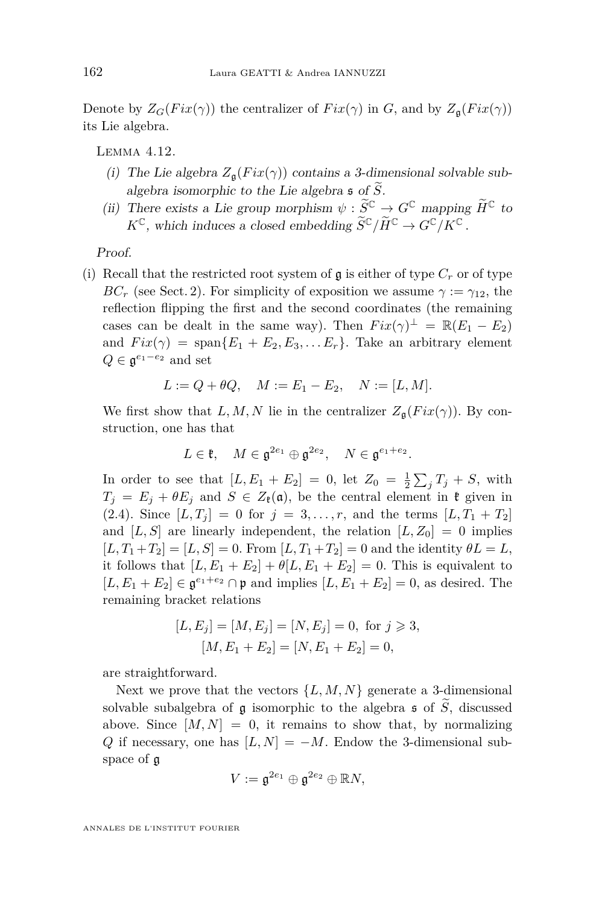Denote by  $Z_G(Fix(\gamma))$  the centralizer of  $Fix(\gamma)$  in *G*, and by  $Z_{\mathfrak{a}}(Fix(\gamma))$ its Lie algebra.

<span id="page-20-0"></span>Lemma 4.12.

- (i) The Lie algebra  $Z_{\mathfrak{a}}(Fix(\gamma))$  contains a 3-dimensional solvable subalgebra isomorphic to the Lie algebra  $\mathfrak s$  of  $\widetilde{S}$ .
- (ii) There exists a Lie group morphism  $\psi : \widetilde{S}^{\mathbb{C}} \to G^{\mathbb{C}}$  mapping  $\widetilde{H}^{\mathbb{C}}$  to  $K^{\mathbb{C}}$ , which induces a closed embedding  $\widetilde{S}^{\mathbb{C}}/\widetilde{H}^{\mathbb{C}} \to G^{\mathbb{C}}/K^{\mathbb{C}}$ .

Proof.

(i) Recall that the restricted root system of  $\mathfrak g$  is either of type  $C_r$  or of type *BC<sub>r</sub>* (see Sect. 2). For simplicity of exposition we assume  $\gamma := \gamma_{12}$ , the reflection flipping the first and the second coordinates (the remaining cases can be dealt in the same way). Then  $Fix(\gamma)^{\perp} = \mathbb{R}(E_1 - E_2)$ and  $Fix(\gamma) = \text{span}\{E_1 + E_2, E_3, \ldots E_r\}$ . Take an arbitrary element  $Q \in \mathfrak{g}^{e_1-e_2}$  and set

$$
L := Q + \theta Q, \quad M := E_1 - E_2, \quad N := [L, M].
$$

We first show that *L, M, N* lie in the centralizer  $Z_{\mathfrak{a}}(Fix(\gamma))$ . By construction, one has that

$$
L \in \mathfrak{k}, \quad M \in \mathfrak{g}^{2e_1} \oplus \mathfrak{g}^{2e_2}, \quad N \in \mathfrak{g}^{e_1 + e_2}.
$$

In order to see that  $[L, E_1 + E_2] = 0$ , let  $Z_0 = \frac{1}{2} \sum_j T_j + S$ , with  $T_j = E_j + \theta E_j$  and  $S \in Z_k(\mathfrak{a})$ , be the central element in  $\mathfrak{k}$  given in  $(2.4)$ . Since  $[L, T_j] = 0$  for  $j = 3, ..., r$ , and the terms  $[L, T_1 + T_2]$ and  $[L, S]$  are linearly independent, the relation  $[L, Z_0] = 0$  implies  $[L, T_1 + T_2] = [L, S] = 0$ . From  $[L, T_1 + T_2] = 0$  and the identity  $\theta L = L$ , it follows that  $[L, E_1 + E_2] + \theta[L, E_1 + E_2] = 0$ . This is equivalent to [*L*, *E*<sub>1</sub> + *E*<sub>2</sub>] ∈  $\mathfrak{g}^{e_1+e_2}$  ∩ **p** and implies [*L*, *E*<sub>1</sub> + *E*<sub>2</sub>] = 0, as desired. The remaining bracket relations

$$
[L, E_j] = [M, E_j] = [N, E_j] = 0, \text{ for } j \ge 3,
$$
  

$$
[M, E_1 + E_2] = [N, E_1 + E_2] = 0,
$$

are straightforward.

Next we prove that the vectors  $\{L, M, N\}$  generate a 3-dimensional solvable subalgebra of g isomorphic to the algebra  $\mathfrak s$  of  $\widetilde{S}$ , discussed above. Since  $[M, N] = 0$ , it remains to show that, by normalizing *Q* if necessary, one has  $[L, N] = -M$ . Endow the 3-dimensional subspace of g

$$
V:=\mathfrak{g}^{2e_1}\oplus \mathfrak{g}^{2e_2}\oplus \mathbb{R}N,
$$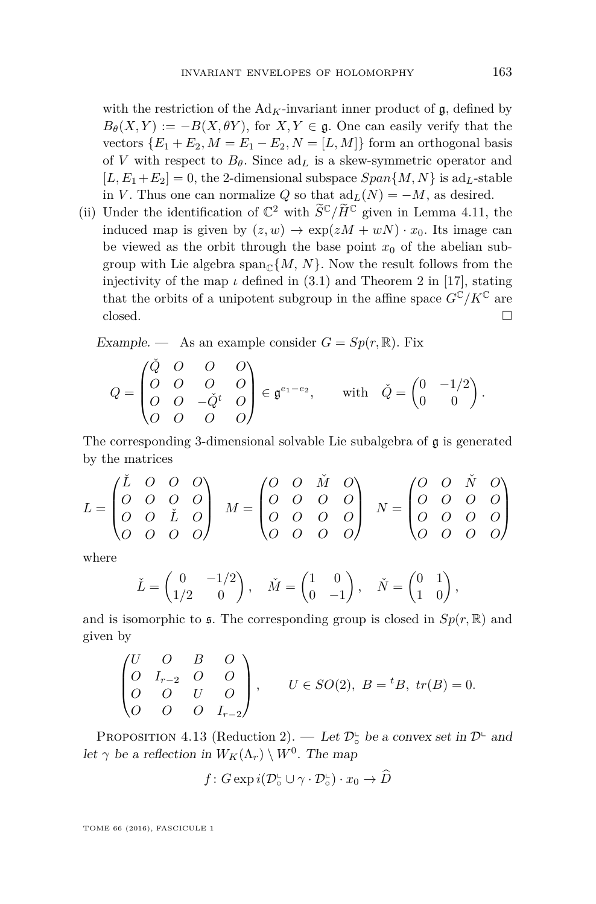with the restriction of the  $Ad<sub>K</sub>$ -invariant inner product of  $\mathfrak{g}$ , defined by  $B_{\theta}(X, Y) := -B(X, \theta Y)$ , for  $X, Y \in \mathfrak{g}$ . One can easily verify that the vectors  ${E_1 + E_2, M = E_1 - E_2, N = [L, M]}$  form an orthogonal basis of *V* with respect to  $B_{\theta}$ . Since  $\text{ad}_L$  is a skew-symmetric operator and  $[L, E_1+E_2] = 0$ , the 2-dimensional subspace  $Span\{M, N\}$  is ad<sub>L</sub>-stable in *V*. Thus one can normalize *Q* so that  $\mathrm{ad}_L(N) = -M$ , as desired.

(ii) Under the identification of  $\mathbb{C}^2$  with  $\widetilde{S}^{\mathbb{C}}/\widetilde{H}^{\mathbb{C}}$  given in Lemma [4.11,](#page-19-0) the induced map is given by  $(z, w) \rightarrow \exp(zM + wN) \cdot x_0$ . Its image can be viewed as the orbit through the base point  $x<sub>0</sub>$  of the abelian subgroup with Lie algebra  $\text{span}_{\mathbb{C}}\{M, N\}$ . Now the result follows from the injectivity of the map  $\iota$  defined in [\(3.1\)](#page-6-1) and Theorem 2 in [\[17\]](#page-31-10), stating that the orbits of a unipotent subgroup in the affine space  $G^{\vec{C}}/K^{\mathbb{C}}$  are closed.  $\Box$ 

Example. — As an example consider  $G = Sp(r, \mathbb{R})$ . Fix

$$
Q = \begin{pmatrix} \check{Q} & O & O & O \\ O & O & O & O \\ O & O & -\check{Q}^t & O \\ O & O & O & O \end{pmatrix} \in \mathfrak{g}^{e_1 - e_2}, \qquad \text{with} \quad \check{Q} = \begin{pmatrix} 0 & -1/2 \\ 0 & 0 \end{pmatrix}.
$$

The corresponding 3-dimensional solvable Lie subalgebra of  $\mathfrak g$  is generated by the matrices

$$
L = \begin{pmatrix} \check{L} & O & O & O \\ O & O & O & O \\ O & O & \check{L} & O \\ O & O & O & O \end{pmatrix} \quad M = \begin{pmatrix} O & O & \check{M} & O \\ O & O & O & O \\ O & O & O & O \\ O & O & O & O \end{pmatrix} \quad N = \begin{pmatrix} O & O & \check{N} & O \\ O & O & O & O \\ O & O & O & O \\ O & O & O & O \end{pmatrix}
$$

where

$$
\check{L} = \begin{pmatrix} 0 & -1/2 \\ 1/2 & 0 \end{pmatrix}, \quad \check{M} = \begin{pmatrix} 1 & 0 \\ 0 & -1 \end{pmatrix}, \quad \check{N} = \begin{pmatrix} 0 & 1 \\ 1 & 0 \end{pmatrix},
$$

and is isomorphic to  $\mathfrak s$ . The corresponding group is closed in  $Sp(r, \mathbb R)$  and given by

$$
\begin{pmatrix}\nU & O & B & O \\
O & I_{r-2} & O & O \\
O & O & U & O \\
O & O & I_{r-2}\n\end{pmatrix}, \tU \in SO(2), B = {}^{t}B, tr(B) = 0.
$$

<span id="page-21-0"></span>PROPOSITION 4.13 (Reduction 2). — Let  $\mathcal{D}_{\circ}^{\mathbb{L}}$  be a convex set in  $\mathcal{D}^{\mathbb{L}}$  and let  $\gamma$  be a reflection in  $W_K(\Lambda_r) \setminus W^0$ . The map

$$
f\colon G\exp i(\mathcal{D}_\circ^{\mathsf{L}}\cup\gamma\cdot\mathcal{D}_\circ^{\mathsf{L}})\cdot x_0\to\widehat{D}
$$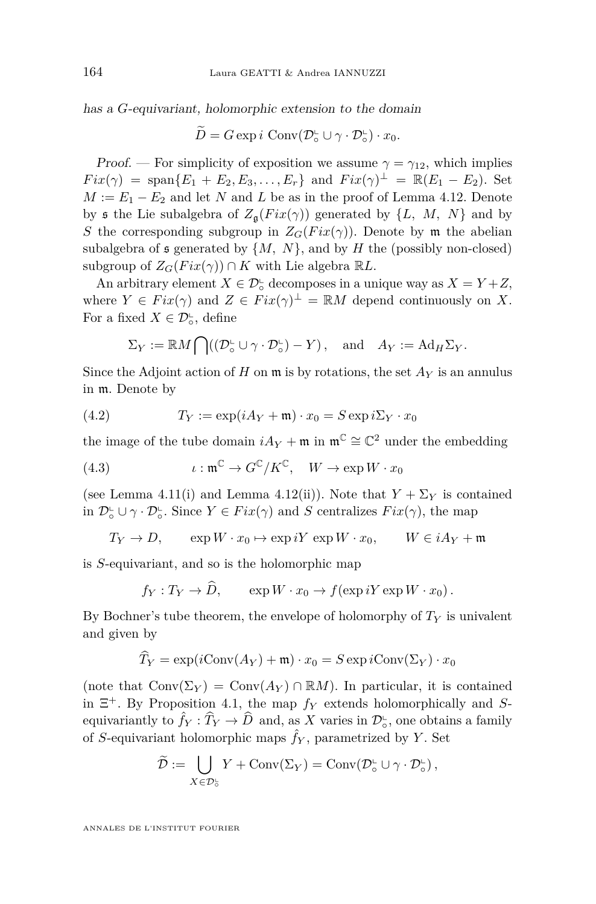has a *G*-equivariant, holomorphic extension to the domain

$$
\widetilde{D} = G \exp i \text{ Conv}(\mathcal{D}_{\circ}^{\mathsf{L}} \cup \gamma \cdot \mathcal{D}_{\circ}^{\mathsf{L}}) \cdot x_0.
$$

Proof. — For simplicity of exposition we assume  $\gamma = \gamma_{12}$ , which implies  $Fix(\gamma) = \text{span}\{E_1 + E_2, E_3, \ldots, E_r\}$  and  $Fix(\gamma)^\perp = \mathbb{R}(E_1 - E_2)$ . Set  $M := E_1 - E_2$  and let *N* and *L* be as in the proof of Lemma [4.12.](#page-20-0) Denote by s the Lie subalgebra of  $Z_{\mathfrak{g}}(Fix(\gamma))$  generated by  $\{L, M, N\}$  and by *S* the corresponding subgroup in  $Z_G(Fix(\gamma))$ . Denote by m the abelian subalgebra of  $\mathfrak s$  generated by  $\{M, N\}$ , and by  $H$  the (possibly non-closed) subgroup of  $Z_G(Fix(\gamma)) \cap K$  with Lie algebra  $\mathbb{R}L$ .

An arbitrary element  $X \in \mathcal{D}^{\mathbb{L}}_{\circ}$  decomposes in a unique way as  $X = Y + Z$ , where  $Y \in Fix(\gamma)$  and  $Z \in Fix(\gamma)^{\perp} = \mathbb{R}M$  depend continuously on X. For a fixed  $X \in \mathcal{D}_{\circ}^{\mathsf{L}}$ , define

<span id="page-22-0"></span>
$$
\Sigma_Y := \mathbb{R}M \bigcap ((\mathcal{D}_\circ^{\mathsf{L}} \cup \gamma \cdot \mathcal{D}_\circ^{\mathsf{L}}) - Y), \text{ and } A_Y := \mathrm{Ad}_H \Sigma_Y.
$$

Since the Adjoint action of *H* on  $\mathfrak{m}$  is by rotations, the set  $A_Y$  is an annulus in m. Denote by

(4.2) 
$$
T_Y := \exp(iA_Y + \mathfrak{m}) \cdot x_0 = S \exp i\Sigma_Y \cdot x_0
$$

the image of the tube domain  $iA_Y + \mathfrak{m}$  in  $\mathfrak{m}^{\mathbb{C}} \cong \mathbb{C}^2$  under the embedding

<span id="page-22-1"></span>(4.3) 
$$
\iota : \mathfrak{m}^{\mathbb{C}} \to G^{\mathbb{C}}/K^{\mathbb{C}}, \quad W \to \exp W \cdot x_0
$$

(see Lemma [4.11\(](#page-19-0)i) and Lemma [4.12\(](#page-20-0)ii)). Note that  $Y + \Sigma_Y$  is contained in  $\mathcal{D}_{\circ}^{\mathsf{L}} \cup \gamma \cdot \mathcal{D}_{\circ}^{\mathsf{L}}$ . Since  $Y \in Fix(\gamma)$  and *S* centralizes  $Fix(\gamma)$ , the map

$$
T_Y \to D, \qquad \exp W \cdot x_0 \mapsto \exp iY \, \exp W \cdot x_0, \qquad W \in i A_Y + \mathfrak{m}
$$

is *S*-equivariant, and so is the holomorphic map

$$
f_Y: T_Y \to \widehat{D}
$$
,  $\exp W \cdot x_0 \to f(\exp iY \exp W \cdot x_0)$ .

By Bochner's tube theorem, the envelope of holomorphy of  $T<sub>Y</sub>$  is univalent and given by

$$
\widehat{T}_Y = \exp(i\text{Conv}(A_Y) + \mathfrak{m}) \cdot x_0 = S \exp i\text{Conv}(\Sigma_Y) \cdot x_0
$$

(note that  $Conv(\Sigma_Y) = Conv(A_Y) \cap \mathbb{R}M$ ). In particular, it is contained in Ξ <sup>+</sup>. By Proposition [4.1,](#page-9-1) the map *f<sup>Y</sup>* extends holomorphically and *S*equivariantly to  $\hat{f}_Y : \hat{T}_Y \to \hat{D}$  and, as *X* varies in  $\mathcal{D}^{\mathbb{L}}_{\circ}$ , one obtains a family of *S*-equivariant holomorphic maps  $\hat{f}_Y$ , parametrized by *Y*. Set

$$
\widetilde{\mathcal{D}} := \bigcup_{X \in \mathcal{D}_o^{\mathsf{L}}} Y + \text{Conv}(\Sigma_Y) = \text{Conv}(\mathcal{D}_o^{\mathsf{L}} \cup \gamma \cdot \mathcal{D}_o^{\mathsf{L}}),
$$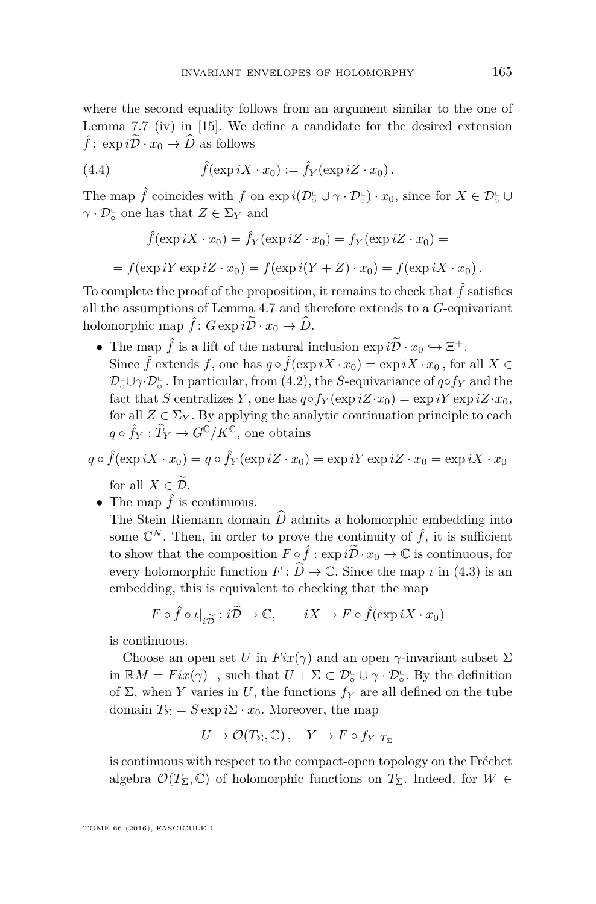where the second equality follows from an argument similar to the one of Lemma 7.7 (iv) in [\[15\]](#page-31-9). We define a candidate for the desired extension  $\hat{f}$ :  $\exp i\tilde{\mathcal{D}} \cdot x_0 \to \hat{D}$  as follows

(4.4) 
$$
\hat{f}(\exp iX \cdot x_0) := \hat{f}_Y(\exp iZ \cdot x_0).
$$

The map  $\hat{f}$  coincides with  $f$  on  $\exp i(\mathcal{D}_\circ^{\mathsf{L}} \cup \gamma \cdot \mathcal{D}_\circ^{\mathsf{L}}) \cdot x_0$ , since for  $X \in \mathcal{D}_\circ^{\mathsf{L}} \cup$  $\gamma \cdot \mathcal{D}_{\circ}^{\mathsf{L}}$  one has that  $Z \in \Sigma_{Y}$  and

<span id="page-23-0"></span>
$$
\hat{f}(\exp iX \cdot x_0) = \hat{f}_Y(\exp iZ \cdot x_0) = f_Y(\exp iZ \cdot x_0) =
$$

 $f(\exp iY \exp iZ \cdot x_0) = f(\exp i(Y + Z) \cdot x_0) = f(\exp iX \cdot x_0).$ 

To complete the proof of the proposition, it remains to check that  $\hat{f}$  satisfies all the assumptions of Lemma [4.7](#page-16-0) and therefore extends to a *G*-equivariant holomorphic map  $\hat{f}$ :  $G \exp i\tilde{\mathcal{D}} \cdot x_0 \to \hat{D}$ .

• The map  $\hat{f}$  is a lift of the natural inclusion  $\exp i\tilde{\mathcal{D}} \cdot x_0 \hookrightarrow \Xi^+$ . Since  $\hat{f}$  extends  $f$ , one has  $q \circ \hat{f}(\exp iX \cdot x_0) = \exp iX \cdot x_0$ , for all  $X \in$  $\mathcal{D}_\circ^{\mathsf{L}} \cup \gamma \cdot \mathcal{D}_\circ^{\mathsf{L}}$ . In particular, from [\(4.2\)](#page-22-0), the *S*-equivariance of *q*∘*fY* and the fact that *S* centralizes *Y*, one has  $q \circ f_Y(\exp iZ \cdot x_0) = \exp iY \exp iZ \cdot x_0$ , for all  $Z \in \Sigma_Y$ . By applying the analytic continuation principle to each  $q \circ \hat{f}_Y : \widehat{T}_Y \to G^{\mathbb{C}}/K^{\mathbb{C}}$ , one obtains

$$
q \circ \hat{f}(\exp iX \cdot x_0) = q \circ \hat{f}_Y(\exp iZ \cdot x_0) = \exp iY \exp iZ \cdot x_0 = \exp iX \cdot x_0
$$
  
for all  $X \in \tilde{D}$ .

• The map  $\hat{f}$  is continuous.

The Stein Riemann domain  $\widehat{D}$  admits a holomorphic embedding into some  $\mathbb{C}^N$ . Then, in order to prove the continuity of  $\hat{f}$ , it is sufficient to show that the composition  $F \circ \hat{f} : \exp i\tilde{D} \cdot x_0 \to \mathbb{C}$  is continuous, for every holomorphic function  $F : \hat{D} \to \mathbb{C}$ . Since the map *ι* in [\(4.3\)](#page-22-1) is an embedding, this is equivalent to checking that the map

$$
F \circ \hat{f} \circ \iota|_{i\widetilde{D}} : i\widetilde{D} \to \mathbb{C}, \qquad iX \to F \circ \hat{f}(\exp iX \cdot x_0)
$$

is continuous.

Choose an open set *U* in  $Fix(\gamma)$  and an open  $\gamma$ -invariant subset  $\Sigma$ in  $\mathbb{R}M = Fix(\gamma)^{\perp}$ , such that  $U + \Sigma \subset \mathcal{D}_{\circ}^{\mathsf{L}} \cup \gamma \cdot \mathcal{D}_{\circ}^{\mathsf{L}}$ . By the definition of  $\Sigma$ , when *Y* varies in *U*, the functions  $f_Y$  are all defined on the tube domain  $T_{\Sigma} = S \exp i\Sigma \cdot x_0$ . Moreover, the map

$$
U \to \mathcal{O}(T_{\Sigma}, \mathbb{C}), \quad Y \to F \circ f_Y|_{T_{\Sigma}}
$$

is continuous with respect to the compact-open topology on the Fréchet algebra  $\mathcal{O}(T_\Sigma,\mathbb{C})$  of holomorphic functions on  $T_\Sigma$ . Indeed, for  $W \in$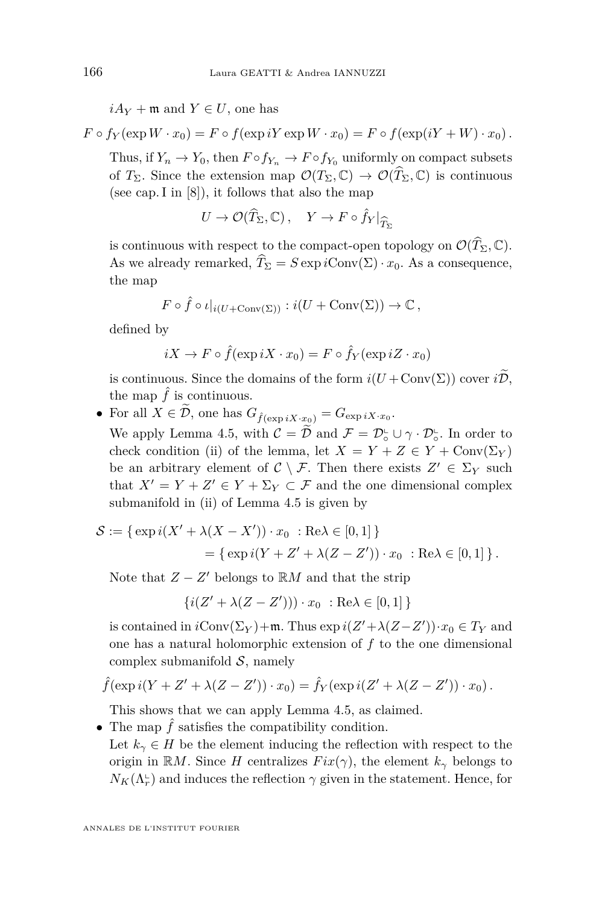$iA_V$  + m and  $Y \in U$ , one has

 $F \circ f_V(\exp W \cdot x_0) = F \circ f(\exp iY \exp W \cdot x_0) = F \circ f(\exp(iY + W) \cdot x_0)$ .

Thus, if  $Y_n \to Y_0$ , then  $F \circ f_{Y_n} \to F \circ f_{Y_0}$  uniformly on compact subsets of  $T_{\Sigma}$ . Since the extension map  $\mathcal{O}(T_{\Sigma}, \mathbb{C}) \to \mathcal{O}(\widehat{T}_{\Sigma}, \mathbb{C})$  is continuous (see cap. I in [\[8\]](#page-31-14)), it follows that also the map

$$
U \to \mathcal{O}(\widehat{T}_{\Sigma}, \mathbb{C}), \quad Y \to F \circ \widehat{f}_Y|_{\widehat{T}_{\Sigma}}
$$

is continuous with respect to the compact-open topology on  $\mathcal{O}(\widehat{T}_{\Sigma}, \mathbb{C})$ . As we already remarked,  $\hat{T}_{\Sigma} = S \exp i \text{Conv}(\Sigma) \cdot x_0$ . As a consequence, the map

$$
F \circ \hat{f} \circ \iota|_{i(U + \text{Conv}(\Sigma))} : i(U + \text{Conv}(\Sigma)) \to \mathbb{C},
$$

defined by

$$
iX \to F \circ \hat{f}(\exp iX \cdot x_0) = F \circ \hat{f}_Y(\exp iZ \cdot x_0)
$$

is continuous. Since the domains of the form  $i(U + \text{Conv}(\Sigma))$  cover  $i\widetilde{\mathcal{D}}$ , the map  $\hat{f}$  is continuous.

• For all  $X \in \mathcal{D}$ , one has  $G_{\hat{f}(\exp iX \cdot x_0)} = G_{\exp iX \cdot x_0}$ .

We apply Lemma [4.5,](#page-13-0) with  $\mathcal{C} = \widetilde{\mathcal{D}}$  and  $\mathcal{F} = \mathcal{D}_o^{\mathsf{L}} \cup \gamma \cdot \mathcal{D}_o^{\mathsf{L}}$ . In order to check condition (ii) of the lemma, let  $X = Y + Z \in Y + \text{Conv}(\Sigma_Y)$ be an arbitrary element of  $C \setminus \mathcal{F}$ . Then there exists  $Z' \in \Sigma_Y$  such that  $X' = Y + Z' \in Y + \Sigma_Y \subset \mathcal{F}$  and the one dimensional complex submanifold in (ii) of Lemma [4.5](#page-13-0) is given by

$$
S := \{ \exp i(X' + \lambda(X - X')) \cdot x_0 : \text{Re}\lambda \in [0, 1] \}
$$
  
= 
$$
\{ \exp i(Y + Z' + \lambda(Z - Z')) \cdot x_0 : \text{Re}\lambda \in [0, 1] \}.
$$

Note that  $Z - Z'$  belongs to  $\mathbb{R}M$  and that the strip

$$
\{i(Z' + \lambda(Z - Z'))) \cdot x_0 : \text{Re}\lambda \in [0, 1]\}
$$

is contained in  $i$ Conv $(\Sigma_Y)$  + m. Thus  $\exp i(Z' + \lambda(Z - Z')) \cdot x_0 \in T_Y$  and one has a natural holomorphic extension of *f* to the one dimensional complex submanifold  $S$ , namely

$$
\hat{f}(\exp i(Y + Z' + \lambda(Z - Z')) \cdot x_0) = \hat{f}_Y(\exp i(Z' + \lambda(Z - Z')) \cdot x_0).
$$

This shows that we can apply Lemma [4.5,](#page-13-0) as claimed.

- The map  $\hat{f}$  satisfies the compatibility condition.
- Let  $k_{\gamma} \in H$  be the element inducing the reflection with respect to the origin in R*M*. Since *H* centralizes  $Fix(\gamma)$ , the element  $k_{\gamma}$  belongs to  $N_K(\Lambda_r^{\mathbb{L}})$  and induces the reflection  $\gamma$  given in the statement. Hence, for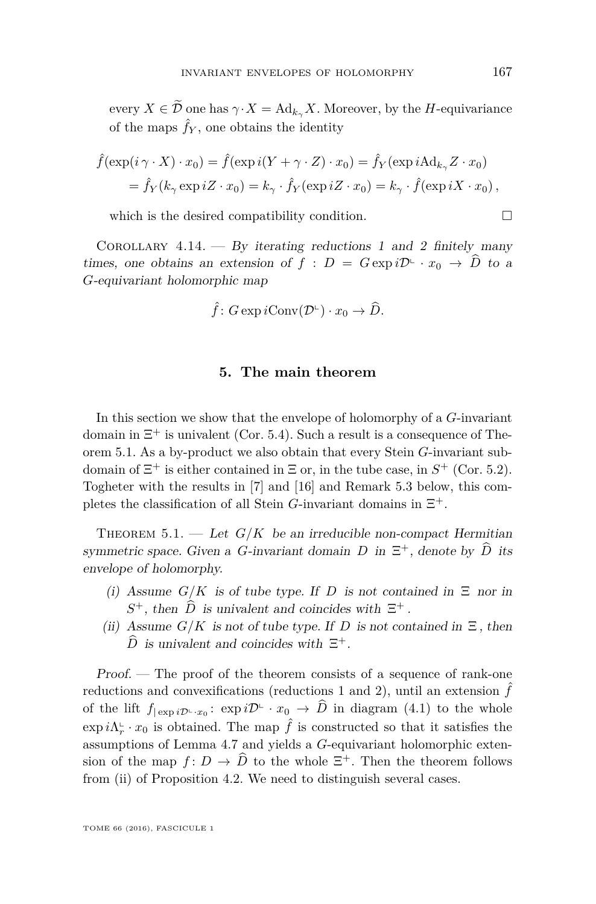every  $X \in \tilde{\mathcal{D}}$  one has  $\gamma \cdot X = \text{Ad}_{k_{\gamma}} X$ . Moreover, by the *H*-equivariance of the maps  $\hat{f}_Y$ , one obtains the identity

$$
\hat{f}(\exp(i\gamma \cdot X) \cdot x_0) = \hat{f}(\exp i(Y + \gamma \cdot Z) \cdot x_0) = \hat{f}_Y(\exp i \text{Ad}_{k_{\gamma}} Z \cdot x_0)
$$
  
=  $\hat{f}_Y(k_{\gamma} \exp iZ \cdot x_0) = k_{\gamma} \cdot \hat{f}_Y(\exp iZ \cdot x_0) = k_{\gamma} \cdot \hat{f}(\exp iX \cdot x_0),$ 

which is the desired compatibility condition.  $\Box$ 

COROLLARY 4.14. — By iterating reductions 1 and 2 finitely many times, one obtains an extension of  $f : D = G \exp i\mathcal{D} \hookrightarrow x_0 \to \widehat{D}$  to a *G*-equivariant holomorphic map

$$
\hat{f} \colon G \exp i \text{Conv}(\mathcal{D}^{\mathbb{L}}) \cdot x_0 \to \widehat{D}.
$$

## **5. The main theorem**

In this section we show that the envelope of holomorphy of a *G*-invariant domain in  $\Xi^+$  is univalent (Cor. [5.4\)](#page-30-0). Such a result is a consequence of Theorem [5.1.](#page-25-0) As a by-product we also obtain that every Stein *G*-invariant subdomain of  $\Xi^+$  is either contained in  $\Xi$  or, in the tube case, in  $S^+$  (Cor. [5.2\)](#page-29-0). Togheter with the results in [\[7\]](#page-31-16) and [\[16\]](#page-31-3) and Remark [5.3](#page-29-1) below, this completes the classification of all Stein *G*-invariant domains in  $\Xi^+$ .

<span id="page-25-0"></span>THEOREM  $5.1.$  — Let  $G/K$  be an irreducible non-compact Hermitian symmetric space. Given a *G*-invariant domain *D* in  $\Xi^+$ , denote by  $\hat{D}$  its envelope of holomorphy.

- (i) Assume  $G/K$  is of tube type. If *D* is not contained in  $\Xi$  nor in  $S^+$ , then  $\hat{D}$  is univalent and coincides with  $\Xi^+$ .
- (ii) Assume  $G/K$  is not of tube type. If *D* is not contained in  $\Xi$ , then  $\widehat{D}$  is univalent and coincides with  $\Xi^+$ .

Proof. — The proof of the theorem consists of a sequence of rank-one reductions and convexifications (reductions 1 and 2), until an extension  $\hat{f}$ of the lift  $f_{|\exp i\mathcal{D}^{\perp}\cdot x_0}: \exp i\mathcal{D}^{\perp}\cdot x_0 \to \widehat{D}$  in diagram [\(4.1\)](#page-10-0) to the whole  $\exp i\Lambda_r^{\mathbb{L}} \cdot x_0$  is obtained. The map  $\hat{f}$  is constructed so that it satisfies the assumptions of Lemma [4.7](#page-16-0) and yields a *G*-equivariant holomorphic extension of the map  $f: D \to \widehat{D}$  to the whole  $\Xi^+$ . Then the theorem follows from (ii) of Proposition [4.2.](#page-9-0) We need to distinguish several cases.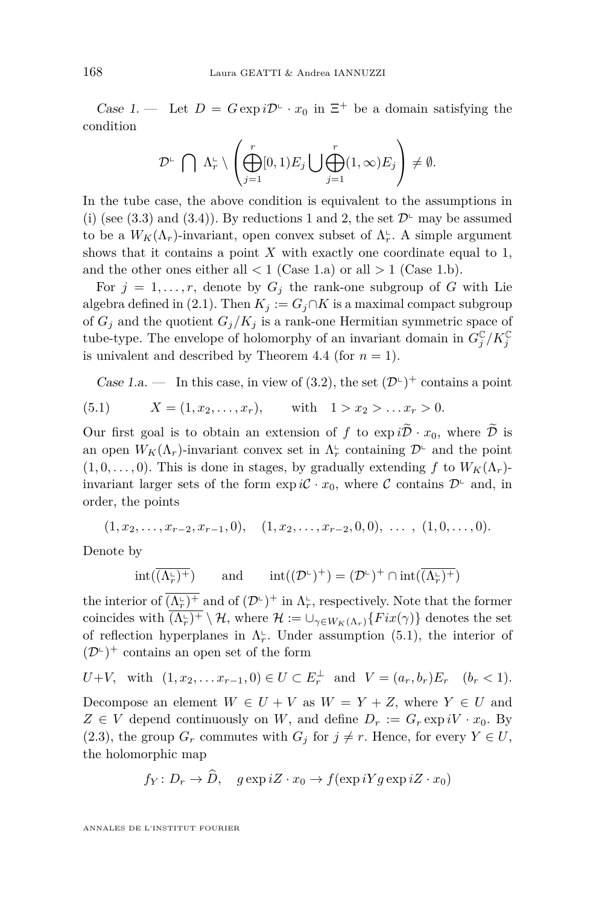Case 1. – Let  $D = G \exp i\mathcal{D}^{\mathbb{L}} \cdot x_0$  in  $\Xi^+$  be a domain satisfying the condition

$$
\mathcal{D}^{\mathsf{L}}\bigcap\Lambda_r^{\mathsf{L}}\setminus\left(\bigoplus_{j=1}^r[0,1)E_j\bigcup\bigoplus_{j=1}^r(1,\infty)E_j\right)\neq\emptyset.
$$

In the tube case, the above condition is equivalent to the assumptions in (i) (see [\(3.3\)](#page-8-2) and [\(3.4\)](#page-9-2)). By reductions 1 and 2, the set  $\mathcal{D}^{\mathsf{L}}$  may be assumed to be a  $W_K(\Lambda_r)$ -invariant, open convex subset of  $\Lambda_r^{\text{L}}$ . A simple argument shows that it contains a point  $X$  with exactly one coordinate equal to  $1$ , and the other ones either all  $< 1$  (Case 1.a) or all  $> 1$  (Case 1.b).

For  $j = 1, \ldots, r$ , denote by  $G_j$  the rank-one subgroup of G with Lie algebra defined in [\(2.1\)](#page-5-0). Then  $K_j := G_j \cap K$  is a maximal compact subgroup of  $G_i$  and the quotient  $G_i/K_i$  is a rank-one Hermitian symmetric space of tube-type. The envelope of holomorphy of an invariant domain in  $G_j^{\mathbb{C}}/K_j^{\mathbb{C}}$ is univalent and described by Theorem [4.4](#page-12-0) (for  $n = 1$ ).

<span id="page-26-0"></span>Case 1.a.  $\qquad$  In this case, in view of [\(3.2\)](#page-8-1), the set  $(\mathcal{D}^{\mathbb{L}})^+$  contains a point

(5.1) 
$$
X = (1, x_2, ..., x_r),
$$
 with  $1 > x_2 > ... x_r > 0.$ 

Our first goal is to obtain an extension of *f* to  $\exp i\tilde{\mathcal{D}} \cdot x_0$ , where  $\tilde{\mathcal{D}}$  is an open  $W_K(\Lambda_r)$ -invariant convex set in  $\Lambda_r^{\mathsf{L}}$  containing  $\mathcal{D}^{\mathsf{L}}$  and the point  $(1, 0, \ldots, 0)$ . This is done in stages, by gradually extending f to  $W_K(\Lambda_r)$ invariant larger sets of the form  $\exp i\mathcal{C} \cdot x_0$ , where  $\mathcal{C}$  contains  $\mathcal{D}^{\mathbb{L}}$  and, in order, the points

$$
(1, x_2, \ldots, x_{r-2}, x_{r-1}, 0), \quad (1, x_2, \ldots, x_{r-2}, 0, 0), \ldots, (1, 0, \ldots, 0).
$$

Denote by

$$
\mathrm{int}(\overline{(\Lambda_r^\llcorner)^+})\qquad\text{and}\qquad \mathrm{int}((\mathcal{D}^\llcorner)^+)=(\mathcal{D}^\llcorner)^+\cap \mathrm{int}(\overline{(\Lambda_r^\llcorner)^+})
$$

the interior of  $\overline{(\Lambda_r^{\iota})^+}$  and of  $(\mathcal{D}^{\iota})^+$  in  $\Lambda_r^{\iota}$ , respectively. Note that the former coincides with  $\overline{(\Lambda_r^{\iota})^+} \setminus \mathcal{H}$ , where  $\mathcal{H} := \cup_{\gamma \in W_K(\Lambda_r)} \{Fix(\gamma)\}\$  denotes the set of reflection hyperplanes in  $\Lambda_r^{\text{L}}$ . Under assumption [\(5.1\)](#page-26-0), the interior of  $(\mathcal{D}^{\mathbb{L}})^+$  contains an open set of the form

$$
U+V
$$
, with  $(1, x_2,... x_{r-1}, 0) \in U \subset E_r^{\perp}$  and  $V = (a_r, b_r)E_r$   $(b_r < 1)$ .

Decompose an element  $W \in U + V$  as  $W = Y + Z$ , where  $Y \in U$  and  $Z \in V$  depend continuously on *W*, and define  $D_r := G_r \exp iV \cdot x_0$ . By [\(2.3\)](#page-5-2), the group  $G_r$  commutes with  $G_j$  for  $j \neq r$ . Hence, for every  $Y \in U$ , the holomorphic map

$$
f_Y: D_r \to D
$$
,  $g \exp iZ \cdot x_0 \to f(\exp iYg \exp iZ \cdot x_0)$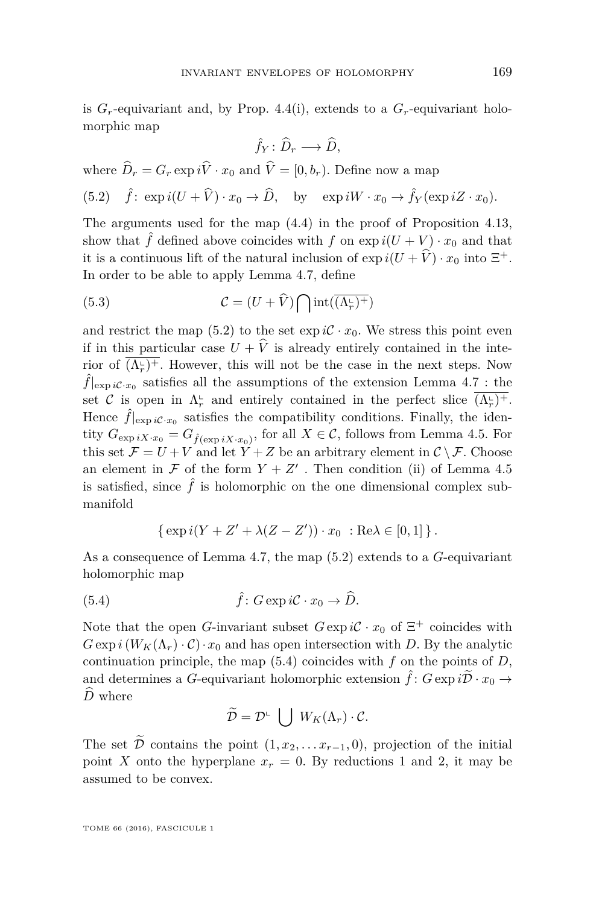is  $G_r$ -equivariant and, by Prop. [4.4\(](#page-12-0)i), extends to a  $G_r$ -equivariant holomorphic map

$$
\hat{f}_Y \colon \widehat{D}_r \longrightarrow \widehat{D},
$$

where  $D_r = G_r \exp iV \cdot x_0$  and  $V = [0, b_r)$ . Define now a map

<span id="page-27-0"></span>(5.2) 
$$
\hat{f}
$$
:  $\exp i(U + \hat{V}) \cdot x_0 \to \hat{D}$ , by  $\exp iW \cdot x_0 \to \hat{f}_Y(\exp iZ \cdot x_0)$ .

The arguments used for the map [\(4.4\)](#page-23-0) in the proof of Proposition [4.13,](#page-21-0) show that  $\hat{f}$  defined above coincides with  $f$  on  $\exp i(U+V) \cdot x_0$  and that it is a continuous lift of the natural inclusion of  $\exp i(U + V) \cdot x_0$  into  $\Xi^+$ . In order to be able to apply Lemma [4.7,](#page-16-0) define

<span id="page-27-2"></span>(5.3) 
$$
\mathcal{C} = (U + \widehat{V}) \bigcap \text{int}(\overline{(\Lambda_r^{\mathbf{L}})^+})
$$

and restrict the map [\(5.2\)](#page-27-0) to the set  $\exp i\mathcal{C} \cdot x_0$ . We stress this point even if in this particular case  $U + \hat{V}$  is already entirely contained in the interior of  $\overline{(\Lambda_r^{\mathsf{L}})^+}$ . However, this will not be the case in the next steps. Now  $\hat{f}|_{\exp i\mathcal{C}\cdot x_0}$  satisfies all the assumptions of the extension Lemma [4.7](#page-16-0) : the set C is open in  $\Lambda_r^{\mathbb{L}}$  and entirely contained in the perfect slice  $\overline{(\Lambda_r^{\mathbb{L}})^+}$ . Hence  $\hat{f}|_{\exp i\mathcal{C}\cdot x_0}$  satisfies the compatibility conditions. Finally, the identity  $G_{\exp iX \cdot x_0} = G_{\hat{f}(\exp iX \cdot x_0)}$ , for all  $X \in \mathcal{C}$ , follows from Lemma [4.5.](#page-13-0) For this set  $\mathcal{F} = U + V$  and let  $\tilde{Y} + Z$  be an arbitrary element in  $\mathcal{C} \setminus \mathcal{F}$ . Choose an element in  $\mathcal F$  of the form  $Y + Z'$ . Then condition (ii) of Lemma [4.5](#page-13-0) is satisfied, since  $\hat{f}$  is holomorphic on the one dimensional complex submanifold

<span id="page-27-1"></span>{ exp 
$$
i(Y + Z' + \lambda(Z - Z')) \cdot x_0 : \text{Re}\lambda \in [0, 1]
$$
 }.

As a consequence of Lemma [4.7,](#page-16-0) the map [\(5.2\)](#page-27-0) extends to a *G*-equivariant holomorphic map

(5.4) 
$$
\hat{f}: G \exp i\mathcal{C} \cdot x_0 \to \widehat{D}.
$$

Note that the open *G*-invariant subset  $G \exp i\mathcal{C} \cdot x_0$  of  $\Xi^+$  coincides with  $G \exp i(W_K(\Lambda_r) \cdot C) \cdot x_0$  and has open intersection with *D*. By the analytic continuation principle, the map [\(5.4\)](#page-27-1) coincides with *f* on the points of *D*, and determines a *G*-equivariant holomorphic extension  $\hat{f}$ :  $G \exp i\tilde{D} \cdot x_0 \rightarrow$  $\hat{D}$  where

$$
\widetilde{\mathcal{D}} = \mathcal{D}^{\perp} \bigcup W_K(\Lambda_r) \cdot \mathcal{C}.
$$

The set  $\overline{\mathcal{D}}$  contains the point  $(1, x_2, \ldots x_{r-1}, 0)$ , projection of the initial point *X* onto the hyperplane  $x_r = 0$ . By reductions 1 and 2, it may be assumed to be convex.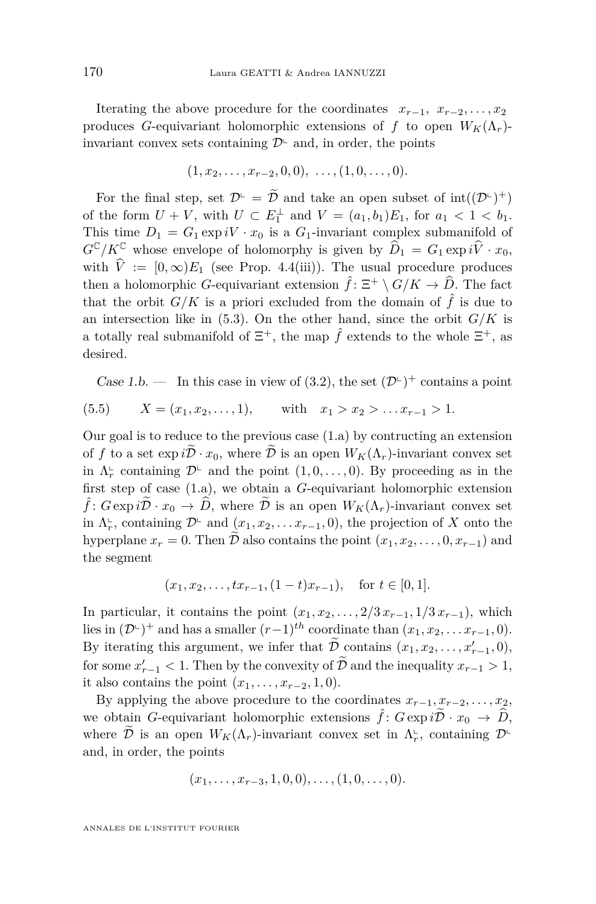Iterating the above procedure for the coordinates  $x_{r-1}, x_{r-2}, \ldots, x_2$ produces *G*-equivariant holomorphic extensions of *f* to open  $W_K(\Lambda_r)$ invariant convex sets containing  $\mathcal{D}^{\mathsf{L}}$  and, in order, the points

$$
(1, x_2, \ldots, x_{r-2}, 0, 0), \ldots, (1, 0, \ldots, 0).
$$

For the final step, set  $\mathcal{D}^{\mathbb{L}} = \tilde{\mathcal{D}}$  and take an open subset of  $\text{int}((\mathcal{D}^{\mathbb{L}})^+)$ of the form  $U + V$ , with  $U \subset E_1^{\perp}$  and  $V = (a_1, b_1)E_1$ , for  $a_1 < 1 < b_1$ . This time  $D_1 = G_1 \exp iV \cdot x_0$  is a  $G_1$ -invariant complex submanifold of  $G^{\mathbb{C}}/K^{\mathbb{C}}$  whose envelope of holomorphy is given by  $\widehat{D}_1 = G_1 \exp i\widehat{V} \cdot x_0$ , with  $\hat{V} := [0, \infty)E_1$  (see Prop. [4.4\(](#page-12-0)iii)). The usual procedure produces then a holomorphic *G*-equivariant extension  $\hat{f}$ :  $\Xi^+ \setminus G/K \to \hat{D}$ . The fact that the orbit  $G/K$  is a priori excluded from the domain of  $\hat{f}$  is due to an intersection like in  $(5.3)$ . On the other hand, since the orbit  $G/K$  is a totally real submanifold of  $\Xi^+$ , the map  $\hat{f}$  extends to the whole  $\Xi^+$ , as desired.

Case 1.b. — In this case in view of [\(3.2\)](#page-8-1), the set  $(\mathcal{D}^{\mathbb{L}})^+$  contains a point

(5.5) 
$$
X = (x_1, x_2, ..., 1),
$$
 with  $x_1 > x_2 > ... x_{r-1} > 1.$ 

Our goal is to reduce to the previous case (1.a) by contructing an extension of f to a set  $\exp i\tilde{\mathcal{D}} \cdot x_0$ , where  $\tilde{\mathcal{D}}$  is an open  $W_K(\Lambda_r)$ -invariant convex set in  $\Lambda_r^{\text{L}}$  containing  $\mathcal{D}^{\text{L}}$  and the point  $(1,0,\ldots,0)$ . By proceeding as in the first step of case (1.a), we obtain a *G*-equivariant holomorphic extension  $\hat{f}$ :  $G \exp i\tilde{\mathcal{D}} \cdot x_0 \to \hat{D}$ , where  $\tilde{\mathcal{D}}$  is an open  $W_K(\Lambda_r)$ -invariant convex set in  $\Lambda_r^{\mathsf{L}}$ , containing  $\mathcal{D}^{\mathsf{L}}$  and  $(x_1, x_2, \ldots x_{r-1}, 0)$ , the projection of *X* onto the hyperplane  $x_r = 0$ . Then  $\tilde{\mathcal{D}}$  also contains the point  $(x_1, x_2, \ldots, 0, x_{r-1})$  and the segment

$$
(x_1, x_2,...,tx_{r-1}, (1-t)x_{r-1}),
$$
 for  $t \in [0,1]$ .

In particular, it contains the point  $(x_1, x_2, \ldots, 2/3 x_{r-1}, 1/3 x_{r-1})$ , which lies in  $(\mathcal{D}^{\perp})^+$  and has a smaller  $(r-1)^{th}$  coordinate than  $(x_1, x_2, \ldots x_{r-1}, 0)$ . By iterating this argument, we infer that  $\tilde{\mathcal{D}}_c$  contains  $(x_1, x_2, \ldots, x'_{r-1}, 0)$ , for some  $x'_{r-1} < 1$ . Then by the convexity of  $\tilde{D}$  and the inequality  $x_{r-1} > 1$ , it also contains the point  $(x_1, \ldots, x_{r-2}, 1, 0)$ .

By applying the above procedure to the coordinates  $x_{r-1}, x_{r-2}, \ldots, x_2$ , we obtain *G*-equivariant holomorphic extensions  $\hat{f}$ :  $G \exp i\tilde{\mathcal{D}} \cdot x_0 \to \tilde{D}$ , where  $\widetilde{\mathcal{D}}$  is an open  $W_K(\Lambda_r)$ -invariant convex set in  $\Lambda_r^{\mathbb{L}}$ , containing  $\mathcal{D}^{\mathbb{L}}$ and, in order, the points

$$
(x_1, \ldots, x_{r-3}, 1, 0, 0), \ldots, (1, 0, \ldots, 0).
$$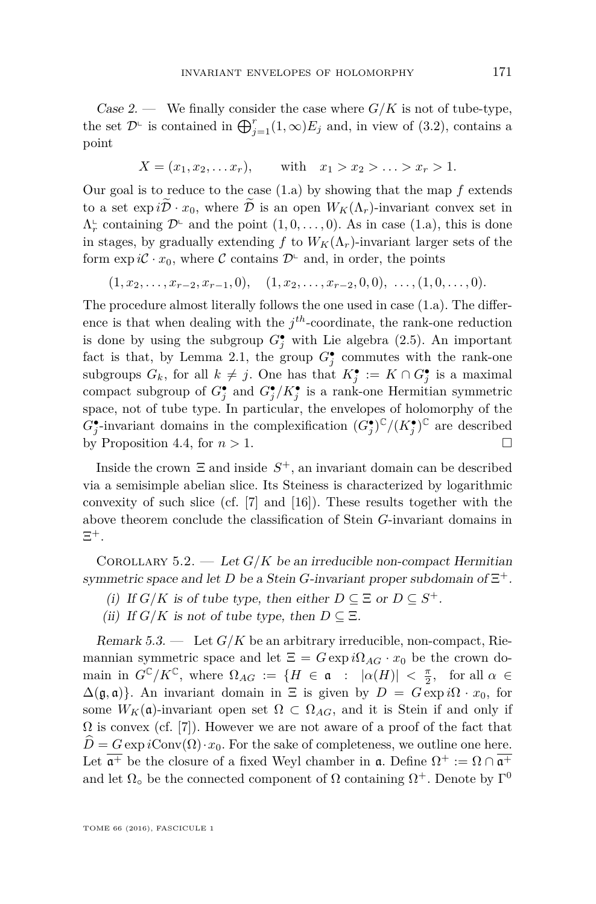Case 2. — We finally consider the case where  $G/K$  is not of tube-type, the set  $\mathcal{D}^{\text{L}}$  is contained in  $\bigoplus_{j=1}^{r} (1,\infty)E_j$  and, in view of [\(3.2\)](#page-8-1), contains a point

$$
X = (x_1, x_2, \dots x_r),
$$
 with  $x_1 > x_2 > \dots > x_r > 1.$ 

Our goal is to reduce to the case (1.a) by showing that the map *f* extends to a set  $\exp i\tilde{\mathcal{D}} \cdot x_0$ , where  $\tilde{\mathcal{D}}$  is an open  $W_K(\Lambda_r)$ -invariant convex set in  $\Lambda_r^{\text{L}}$  containing  $\mathcal{D}^{\text{L}}$  and the point  $(1,0,\ldots,0)$ . As in case  $(1.a)$ , this is done in stages, by gradually extending f to  $W_K(\Lambda_r)$ -invariant larger sets of the form  $\exp i\mathcal{C} \cdot x_0$ , where  $\mathcal{C}$  contains  $\mathcal{D}^{\mathbb{L}}$  and, in order, the points

 $(1, x_2, \ldots, x_{r-2}, x_{r-1}, 0), \quad (1, x_2, \ldots, x_{r-2}, 0, 0), \ldots, (1, 0, \ldots, 0).$ 

The procedure almost literally follows the one used in case (1.a). The difference is that when dealing with the  $j<sup>th</sup>$ -coordinate, the rank-one reduction is done by using the subgroup  $G_j^{\bullet}$  with Lie algebra [\(2.5\)](#page-6-2). An important fact is that, by Lemma [2.1,](#page-6-3) the group  $G_j^{\bullet}$  commutes with the rank-one subgroups  $G_k$ , for all  $k \neq j$ . One has that  $K_j^{\bullet} := K \cap G_j^{\bullet}$  is a maximal compact subgroup of  $G_j^{\bullet}$  and  $G_j^{\bullet}/K_j^{\bullet}$  is a rank-one Hermitian symmetric space, not of tube type. In particular, the envelopes of holomorphy of the  $G_j^{\bullet}$ -invariant domains in the complexification  $(G_j^{\bullet})^{\mathbb{C}}/(K_j^{\bullet})^{\mathbb{C}}$  are described by Proposition [4.4,](#page-12-0) for  $n > 1$ .

Inside the crown  $\Xi$  and inside  $S^+$ , an invariant domain can be described via a semisimple abelian slice. Its Steiness is characterized by logarithmic convexity of such slice (cf. [\[7\]](#page-31-16) and [\[16\]](#page-31-3)). These results together with the above theorem conclude the classification of Stein *G*-invariant domains in  $\Xi^+$ .

<span id="page-29-0"></span>COROLLARY 5.2. — Let  $G/K$  be an irreducible non-compact Hermitian symmetric space and let *D* be a Stein *G*-invariant proper subdomain of  $\Xi^+$ .

- (i) If  $G/K$  is of tube type, then either  $D \subseteq \Xi$  or  $D \subseteq S^+$ .
- (ii) If  $G/K$  is not of tube type, then  $D \subseteq \Xi$ .

<span id="page-29-1"></span>Remark  $5.3.$  — Let  $G/K$  be an arbitrary irreducible, non-compact, Riemannian symmetric space and let  $\Xi = G \exp i\Omega_{AG} \cdot x_0$  be the crown domain in  $G^{\mathbb{C}}/K^{\mathbb{C}}$ , where  $\Omega_{AG} := \{ H \in \mathfrak{a} \ : \ |\alpha(H)| \ < \frac{\pi}{2}, \ \text{ for all } \alpha \in$  $\Delta(\mathfrak{g}, \mathfrak{a})$ . An invariant domain in  $\Xi$  is given by  $D = G \exp i\Omega \cdot x_0$ , for some  $W_K(\mathfrak{a})$ -invariant open set  $\Omega \subset \Omega_{AG}$ , and it is Stein if and only if  $\Omega$  is convex (cf. [\[7\]](#page-31-16)). However we are not aware of a proof of the fact that  $D = G \exp i \text{Conv}(\Omega) \cdot x_0$ . For the sake of completeness, we outline one here. Let  $\overline{\mathfrak{a}^+}$  be the closure of a fixed Weyl chamber in  $\mathfrak{a}$ . Define  $\Omega^+ := \Omega \cap \overline{\mathfrak{a}^+}$ and let  $\Omega_{\circ}$  be the connected component of  $\Omega$  containing  $\Omega^{+}$ . Denote by  $\Gamma^{0}$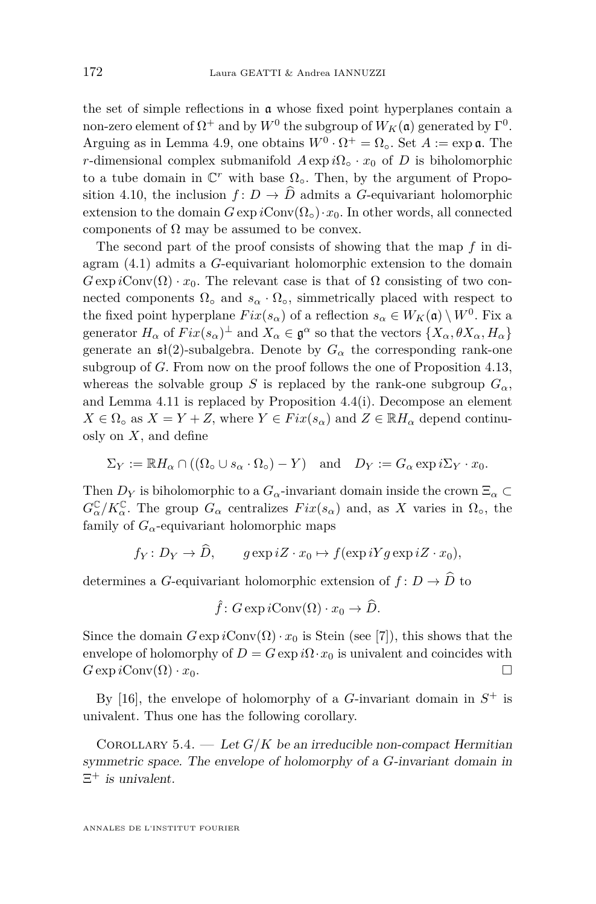the set of simple reflections in a whose fixed point hyperplanes contain a non-zero element of  $\Omega^+$  and by  $W^0$  the subgroup of  $W_K(\mathfrak{a})$  generated by  $\Gamma^0$ . Arguing as in Lemma [4.9,](#page-17-1) one obtains  $W^0 \cdot \Omega^+ = \Omega_0$ . Set  $A := \exp \mathfrak{a}$ . The *r*-dimensional complex submanifold  $A \exp i\Omega_0 \cdot x_0$  of *D* is biholomorphic to a tube domain in  $\mathbb{C}^r$  with base  $\Omega_{\circ}$ . Then, by the argument of Propo-sition [4.10,](#page-18-0) the inclusion  $f: D \to \widehat{D}$  admits a *G*-equivariant holomorphic extension to the domain  $G \exp i \text{Conv}(\Omega_0) \cdot x_0$ . In other words, all connected components of  $\Omega$  may be assumed to be convex.

The second part of the proof consists of showing that the map *f* in diagram [\(4.1\)](#page-10-0) admits a *G*-equivariant holomorphic extension to the domain  $G \exp i \text{Conv}(\Omega) \cdot x_0$ . The relevant case is that of  $\Omega$  consisting of two connected components  $\Omega_{\text{o}}$  and  $s_{\alpha} \cdot \Omega_{\text{o}}$ , simmetrically placed with respect to the fixed point hyperplane  $Fix(s_\alpha)$  of a reflection  $s_\alpha \in W_K(\mathfrak{a}) \setminus W^0$ . Fix a generator  $H_{\alpha}$  of  $Fix(s_{\alpha})^{\perp}$  and  $X_{\alpha} \in \mathfrak{g}^{\alpha}$  so that the vectors  $\{X_{\alpha}, \theta X_{\alpha}, H_{\alpha}\}\$ generate an  $\mathfrak{sl}(2)$ -subalgebra. Denote by  $G_{\alpha}$  the corresponding rank-one subgroup of *G*. From now on the proof follows the one of Proposition [4.13,](#page-21-0) whereas the solvable group *S* is replaced by the rank-one subgroup  $G_{\alpha}$ , and Lemma [4.11](#page-19-0) is replaced by Proposition [4.4\(](#page-12-0)i). Decompose an element  $X \in \Omega$ <sub>o</sub> as  $X = Y + Z$ , where  $Y \in Fix(s_{\alpha})$  and  $Z \in \mathbb{R}$ *H<sub>α</sub>* depend continuosly on *X*, and define

$$
\Sigma_Y := \mathbb{R} H_\alpha \cap ((\Omega_\circ \cup s_\alpha \cdot \Omega_\circ) - Y) \quad \text{and} \quad D_Y := G_\alpha \exp i\Sigma_Y \cdot x_0.
$$

Then  $D_Y$  is biholomorphic to a  $G_\alpha$ -invariant domain inside the crown  $\Xi_\alpha \subset$  $G^{\mathbb{C}}_{\alpha}/K^{\mathbb{C}}_{\alpha}$ . The group  $G_{\alpha}$  centralizes  $Fix(s_{\alpha})$  and, as X varies in  $\Omega_{\circ}$ , the family of  $G_{\alpha}$ -equivariant holomorphic maps

$$
f_Y: D_Y \to D
$$
,  $g \exp iZ \cdot x_0 \mapsto f(\exp iYg \exp iZ \cdot x_0)$ ,

determines a *G*-equivariant holomorphic extension of  $f: D \to \widehat{D}$  to

$$
\hat{f} \colon G \exp i \text{Conv}(\Omega) \cdot x_0 \to \widehat{D}.
$$

Since the domain  $G \exp i \text{Conv}(\Omega) \cdot x_0$  is Stein (see [\[7\]](#page-31-16)), this shows that the envelope of holomorphy of  $D = G \exp i\Omega \cdot x_0$  is univalent and coincides with  $G \exp i \text{Conv}(\Omega) \cdot x_0.$ 

By [\[16\]](#page-31-3), the envelope of holomorphy of a *G*-invariant domain in  $S^+$  is univalent. Thus one has the following corollary.

<span id="page-30-0"></span>COROLLARY 5.4. — Let  $G/K$  be an irreducible non-compact Hermitian symmetric space. The envelope of holomorphy of a *G*-invariant domain in  $\Xi^+$  is univalent.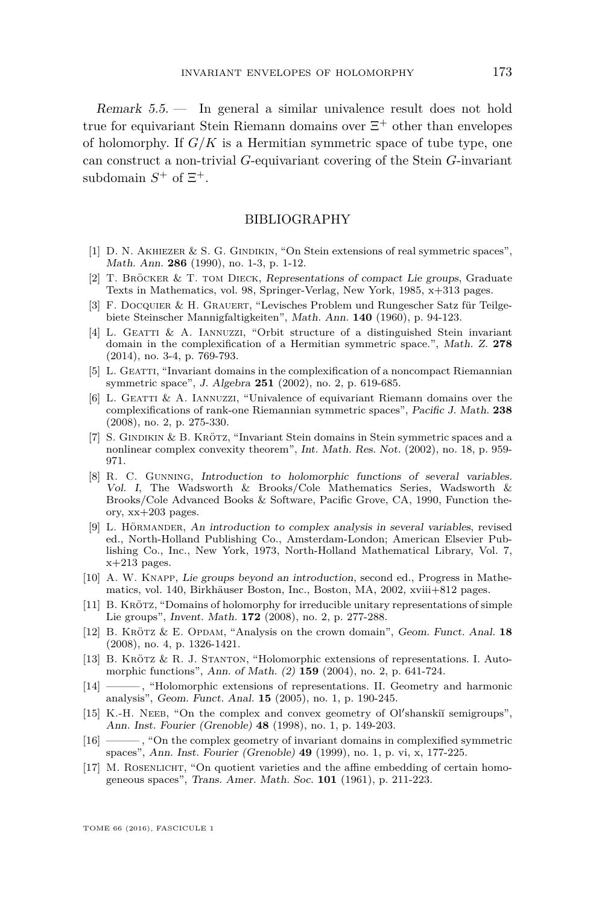Remark 5.5. — In general a similar univalence result does not hold true for equivariant Stein Riemann domains over  $\Xi^+$  other than envelopes of holomorphy. If  $G/K$  is a Hermitian symmetric space of tube type, one can construct a non-trivial *G*-equivariant covering of the Stein *G*-invariant subdomain  $S^+$  of  $\Xi^+$ .

#### BIBLIOGRAPHY

- <span id="page-31-0"></span>[1] D. N. AKHIEZER & S. G. GINDIKIN, "On Stein extensions of real symmetric spaces", Math. Ann. **286** (1990), no. 1-3, p. 1-12.
- <span id="page-31-15"></span>[2] T. Bröcker & T. tom Dieck, Representations of compact Lie groups, Graduate Texts in Mathematics, vol. 98, Springer-Verlag, New York, 1985, x+313 pages.
- <span id="page-31-13"></span>[3] F. Docquier & H. Grauert, "Levisches Problem und Rungescher Satz für Teilgebiete Steinscher Mannigfaltigkeiten", Math. Ann. **140** (1960), p. 94-123.
- <span id="page-31-7"></span>[4] L. Geatti & A. Iannuzzi, "Orbit structure of a distinguished Stein invariant domain in the complexification of a Hermitian symmetric space.", Math. Z. **278** (2014), no. 3-4, p. 769-793.
- <span id="page-31-5"></span>[5] L. GEATTI, "Invariant domains in the complexification of a noncompact Riemannian symmetric space", J. Algebra **251** (2002), no. 2, p. 619-685.
- <span id="page-31-4"></span> $[6]$  L. GEATTI & A. IANNUZZI, "Univalence of equivariant Riemann domains over the complexifications of rank-one Riemannian symmetric spaces", Pacific J. Math. **238** (2008), no. 2, p. 275-330.
- <span id="page-31-16"></span>[7] S. Gindikin & B. Krötz, "Invariant Stein domains in Stein symmetric spaces and a nonlinear complex convexity theorem", Int. Math. Res. Not. (2002), no. 18, p. 959- 971.
- <span id="page-31-14"></span>[8] R. C. Gunning, Introduction to holomorphic functions of several variables. Vol. I, The Wadsworth & Brooks/Cole Mathematics Series, Wadsworth & Brooks/Cole Advanced Books & Software, Pacific Grove, CA, 1990, Function theory, xx+203 pages.
- <span id="page-31-12"></span>[9] L. Hörmander, An introduction to complex analysis in several variables, revised ed., North-Holland Publishing Co., Amsterdam-London; American Elsevier Publishing Co., Inc., New York, 1973, North-Holland Mathematical Library, Vol. 7,  $x+213$  pages.
- <span id="page-31-11"></span>[10] A. W. Knapp, Lie groups beyond an introduction, second ed., Progress in Mathematics, vol. 140, Birkhäuser Boston, Inc., Boston, MA, 2002, xviii+812 pages.
- <span id="page-31-6"></span>[11] B. Krötz, "Domains of holomorphy for irreducible unitary representations of simple Lie groups", Invent. Math. **172** (2008), no. 2, p. 277-288.
- <span id="page-31-8"></span>[12] B. Krötz & E. Opdam, "Analysis on the crown domain", Geom. Funct. Anal. **18** (2008), no. 4, p. 1326-1421.
- <span id="page-31-1"></span>[13] B. Krötz & R. J. Stanton, "Holomorphic extensions of representations. I. Automorphic functions", Ann. of Math. (2) **159** (2004), no. 2, p. 641-724.
- <span id="page-31-2"></span>[14] ——— , "Holomorphic extensions of representations. II. Geometry and harmonic analysis", Geom. Funct. Anal. **15** (2005), no. 1, p. 190-245.
- <span id="page-31-9"></span>[15] K.-H. NEEB, "On the complex and convex geometry of Ol'shanskiı̆ semigroups", Ann. Inst. Fourier (Grenoble) **48** (1998), no. 1, p. 149-203.
- <span id="page-31-3"></span>[16] ——— , "On the complex geometry of invariant domains in complexified symmetric spaces", Ann. Inst. Fourier (Grenoble) **49** (1999), no. 1, p. vi, x, 177-225.
- <span id="page-31-10"></span>[17] M. ROSENLICHT, "On quotient varieties and the affine embedding of certain homogeneous spaces", Trans. Amer. Math. Soc. **101** (1961), p. 211-223.